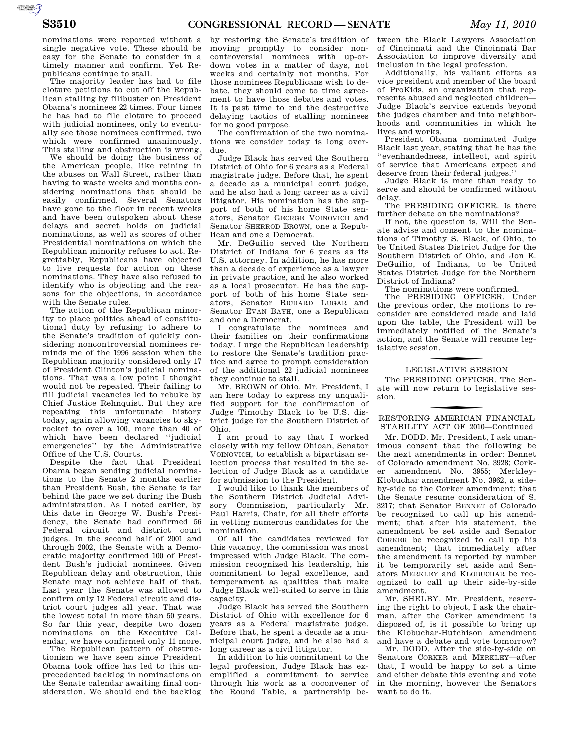AUTOROTOMICALE CONTINUES

nominations were reported without a single negative vote. These should be easy for the Senate to consider in a timely manner and confirm. Yet Republicans continue to stall.

The majority leader has had to file cloture petitions to cut off the Republican stalling by filibuster on President Obama's nominees 22 times. Four times he has had to file cloture to proceed with judicial nominees, only to eventually see those nominees confirmed, two which were confirmed unanimously. This stalling and obstruction is wrong.

We should be doing the business of the American people, like reining in the abuses on Wall Street, rather than having to waste weeks and months considering nominations that should be easily confirmed. Several Senators have gone to the floor in recent weeks and have been outspoken about these delays and secret holds on judicial nominations, as well as scores of other Presidential nominations on which the Republican minority refuses to act. Regrettably, Republicans have objected to live requests for action on these nominations. They have also refused to identify who is objecting and the reasons for the objections, in accordance with the Senate rules.

The action of the Republican minority to place politics ahead of constitutional duty by refusing to adhere to the Senate's tradition of quickly considering noncontroversial nominees reminds me of the 1996 session when the Republican majority considered only 17 of President Clinton's judicial nominations. That was a low point I thought would not be repeated. Their failing to fill judicial vacancies led to rebuke by Chief Justice Rehnquist. But they are repeating this unfortunate history today, again allowing vacancies to skyrocket to over a 100, more than 40 of which have been declared ''judicial emergencies'' by the Administrative Office of the U.S. Courts.

Despite the fact that President Obama began sending judicial nominations to the Senate 2 months earlier than President Bush, the Senate is far behind the pace we set during the Bush administration. As I noted earlier, by this date in George W. Bush's Presidency, the Senate had confirmed 56 Federal circuit and district court judges. In the second half of 2001 and through 2002, the Senate with a Democratic majority confirmed 100 of President Bush's judicial nominees. Given Republican delay and obstruction, this Senate may not achieve half of that. Last year the Senate was allowed to confirm only 12 Federal circuit and district court judges all year. That was the lowest total in more than 50 years. So far this year, despite two dozen nominations on the Executive Calendar, we have confirmed only 11 more.

The Republican pattern of obstructionism we have seen since President Obama took office has led to this unprecedented backlog in nominations on the Senate calendar awaiting final consideration. We should end the backlog

by restoring the Senate's tradition of moving promptly to consider noncontroversial nominees with up-ordown votes in a matter of days, not weeks and certainly not months. For those nominees Republicans wish to debate, they should come to time agreement to have those debates and votes. It is past time to end the destructive delaying tactics of stalling nominees for no good purpose.

The confirmation of the two nominations we consider today is long overdue.

Judge Black has served the Southern District of Ohio for 6 years as a Federal magistrate judge. Before that, he spent a decade as a municipal court judge, and he also had a long career as a civil litigator. His nomination has the support of both of his home State senators, Senator GEORGE VOINOVICH and Senator SHERROD BROWN, one a Republican and one a Democrat.

Mr. DeGuilio served the Northern District of Indiana for 6 years as its U.S. attorney. In addition, he has more than a decade of experience as a lawyer in private practice, and he also worked as a local prosecutor. He has the support of both of his home State senators, Senator RICHARD LUGAR and Senator EVAN BAYH, one a Republican and one a Democrat.

I congratulate the nominees and their families on their confirmations today. I urge the Republican leadership to restore the Senate's tradition practice and agree to prompt consideration of the additional 22 judicial nominees they continue to stall.

Mr. BROWN of Ohio. Mr. President, I am here today to express my unqualified support for the confirmation of Judge Timothy Black to be U.S. district judge for the Southern District of Ohio.

I am proud to say that I worked closely with my fellow Ohioan, Senator VOINOVICH, to establish a bipartisan selection process that resulted in the selection of Judge Black as a candidate for submission to the President.

I would like to thank the members of the Southern District Judicial Advisory Commission, particularly Mr. Paul Harris, Chair, for all their efforts in vetting numerous candidates for the nomination.

Of all the candidates reviewed for this vacancy, the commission was most impressed with Judge Black. The commission recognized his leadership, his commitment to legal excellence, and temperament as qualities that make Judge Black well-suited to serve in this capacity.

Judge Black has served the Southern District of Ohio with excellence for 6 years as a Federal magistrate judge. Before that, he spent a decade as a municipal court judge, and he also had a long career as a civil litigator.

In addition to his commitment to the legal profession, Judge Black has exemplified a commitment to service through his work as a coconvener of the Round Table, a partnership be-

tween the Black Lawyers Association of Cincinnati and the Cincinnati Bar Association to improve diversity and inclusion in the legal profession.

Additionally, his valiant efforts as vice president and member of the board of ProKids, an organization that represents abused and neglected children— Judge Black's service extends beyond the judges chamber and into neighborhoods and communities in which he lives and works.

President Obama nominated Judge Black last year, stating that he has the ''evenhandedness, intellect, and spirit of service that Americans expect and deserve from their federal judges.''

Judge Black is more than ready to serve and should be confirmed without delay.

The PRESIDING OFFICER. Is there further debate on the nominations?

If not, the question is, Will the Senate advise and consent to the nominations of Timothy S. Black, of Ohio, to be United States District Judge for the Southern District of Ohio, and Jon E. DeGuilio, of Indiana, to be United States District Judge for the Northern District of Indiana?

The nominations were confirmed.

The PRESIDING OFFICER. Under the previous order, the motions to reconsider are considered made and laid upon the table, the President will be immediately notified of the Senate's action, and the Senate will resume legislative session.

# f LEGISLATIVE SESSION

The PRESIDING OFFICER. The Senate will now return to legislative session.

## f RESTORING AMERICAN FINANCIAL STABILITY ACT OF 2010—Continued

Mr. DODD. Mr. President, I ask unanimous consent that the following be the next amendments in order: Bennet of Colorado amendment No. 3928; Corker amendment No. 3955; Merkley-Klobuchar amendment No. 3962, a sideby-side to the Corker amendment; that the Senate resume consideration of S. 3217; that Senator BENNET of Colorado be recognized to call up his amendment; that after his statement, the amendment be set aside and Senator CORKER be recognized to call up his amendment; that immediately after the amendment is reported by number it be temporarily set aside and Senators MERKLEY and KLOBUCHAR be recognized to call up their side-by-side amendment.

Mr. SHELBY. Mr. President, reserving the right to object, I ask the chairman, after the Corker amendment is disposed of, is it possible to bring up the Klobuchar-Hutchison amendment and have a debate and vote tomorrow?

Mr. DODD. After the side-by-side on Senators CORKER and MERKLEY—after that, I would be happy to set a time and either debate this evening and vote in the morning, however the Senators want to do it.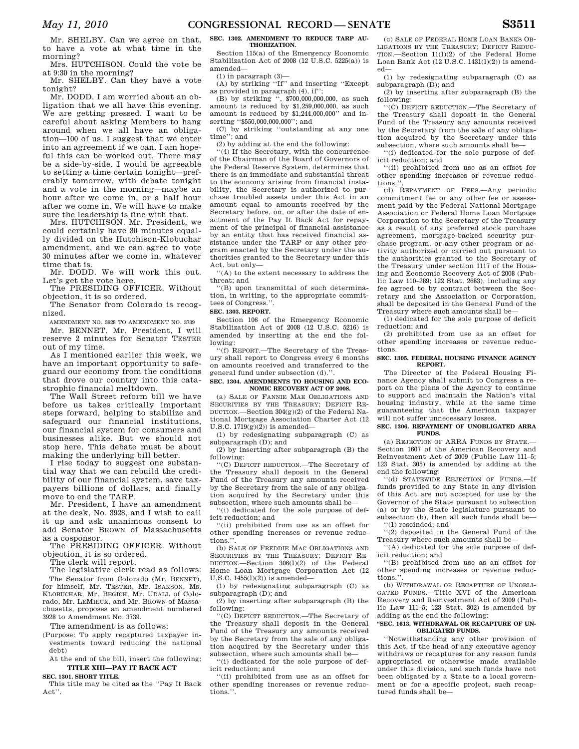Mr. SHELBY. Can we agree on that, to have a vote at what time in the morning?

Mrs. HUTCHISON. Could the vote be at 9:30 in the morning?

Mr. SHELBY. Can they have a vote tonight?

Mr. DODD. I am worried about an obligation that we all have this evening. We are getting pressed. I want to be careful about asking Members to hang around when we all have an obligation—100 of us. I suggest that we enter into an agreement if we can. I am hopeful this can be worked out. There may be a side-by-side. I would be agreeable to setting a time certain tonight—preferably tomorrow, with debate tonight and a vote in the morning—maybe an hour after we come in, or a half hour after we come in. We will have to make sure the leadership is fine with that.

Mrs. HUTCHISON. Mr. President, we could certainly have 30 minutes equally divided on the Hutchison-Klobuchar amendment, and we can agree to vote 30 minutes after we come in, whatever time that is.

Mr. DODD. We will work this out. Let's get the vote here.

The PRESIDING OFFICER. Without objection, it is so ordered.

The Senator from Colorado is recognized.

AMENDMENT NO. 3928 TO AMENDMENT NO. 3739

Mr. BENNET. Mr. President, I will reserve 2 minutes for Senator TESTER out of my time.

As I mentioned earlier this week, we have an important opportunity to safeguard our economy from the conditions that drove our country into this catastrophic financial meltdown.

The Wall Street reform bill we have before us takes critically important steps forward, helping to stabilize and safeguard our financial institutions, our financial system for consumers and businesses alike. But we should not stop here. This debate must be about making the underlying bill better.

I rise today to suggest one substantial way that we can rebuild the credibility of our financial system, save taxpayers billions of dollars, and finally move to end the TARP.

Mr. President, I have an amendment at the desk, No. 3928, and I wish to call it up and ask unanimous consent to add Senator BROWN of Massachusetts as a cosponsor.

The PRESIDING OFFICER. Without objection, it is so ordered.

The clerk will report.

The legislative clerk read as follows: The Senator from Colorado (Mr. BENNET), for himself, Mr. TESTER, Mr. ISAKSON, Ms. KLOBUCHAR, Mr. BEGICH, Mr. UDALL of Colorado, Mr. LEMIEUX, and Mr. BROWN of Massachusetts, proposes an amendment numbered 3928 to Amendment No. 3739.

The amendment is as follows:

(Purpose: To apply recaptured taxpayer investments toward reducing the national debt)

At the end of the bill, insert the following: **TITLE XIII—PAY IT BACK ACT** 

**SEC. 1301. SHORT TITLE.** 

This title may be cited as the ''Pay It Back Act''.

**SEC. 1302. AMENDMENT TO REDUCE TARP AU-THORIZATION.** 

Section 115(a) of the Emergency Economic Stabilization Act of 2008 (12 U.S.C. 5225(a)) is amended—

 $(1)$  in paragraph  $(3)$ —

 $(A)$  by striking "If" and inserting "Except" as provided in paragraph (4), if'';

(B) by striking '', \$700,000,000,000, as such amount is reduced by  $$1,259,000,000$ , as such amount is reduced by \$1,244,000,000'' and inserting ''\$550,000,000,000''; and

(C) by striking ''outstanding at any one time''; and

(2) by adding at the end the following:

''(4) If the Secretary, with the concurrence of the Chairman of the Board of Governors of the Federal Reserve System, determines that there is an immediate and substantial threat to the economy arising from financial instability, the Secretary is authorized to purchase troubled assets under this Act in an amount equal to amounts received by the Secretary before, on, or after the date of enactment of the Pay It Back Act for repayment of the principal of financial assistance by an entity that has received financial assistance under the TARP or any other program enacted by the Secretary under the authorities granted to the Secretary under this Act, but only—

''(A) to the extent necessary to address the threat; and

''(B) upon transmittal of such determination, in writing, to the appropriate committees of Congress.''.

### **SEC. 1303. REPORT.**

Section 106 of the Emergency Economic Stabilization Act of 2008 (12 U.S.C. 5216) is amended by inserting at the end the following:

''(f) REPORT.—The Secretary of the Treasury shall report to Congress every 6 months on amounts received and transferred to the general fund under subsection (d).''.

### **SEC. 1304. AMENDMENTS TO HOUSING AND ECO-NOMIC RECOVERY ACT OF 2008.**

(a) SALE OF FANNIE MAE OBLIGATIONS AND SECURITIES BY THE TREASURY; DEFICIT RE-DUCTION.—Section 304(g)(2) of the Federal National Mortgage Association Charter Act (12 U.S.C.  $1719(g)(2)$ ) is amended-

(1) by redesignating subparagraph (C) as subparagraph (D); and

(2) by inserting after subparagraph (B) the following:

''(C) DEFICIT REDUCTION.—The Secretary of the Treasury shall deposit in the General Fund of the Treasury any amounts received by the Secretary from the sale of any obligation acquired by the Secretary under this subsection, where such amounts shall be—

''(i) dedicated for the sole purpose of deficit reduction; and

''(ii) prohibited from use as an offset for other spending increases or revenue reductions.''.

(b) SALE OF FREDDIE MAC OBLIGATIONS AND SECURITIES BY THE TREASURY; DEFICIT RE-DUCTION.—Section 306(l)(2) of the Federal Home Loan Mortgage Corporation Act (12 U.S.C. 1455(l)(2)) is amended—

(1) by redesignating subparagraph (C) as subparagraph (D); and

(2) by inserting after subparagraph (B) the following:

''(C) DEFICIT REDUCTION.—The Secretary of the Treasury shall deposit in the General Fund of the Treasury any amounts received by the Secretary from the sale of any obligation acquired by the Secretary under this subsection, where such amounts shall be-

''(i) dedicated for the sole purpose of deficit reduction; and

''(ii) prohibited from use as an offset for other spending increases or revenue reductions.''.

(c) SALE OF FEDERAL HOME LOAN BANKS OB-LIGATIONS BY THE TREASURY; DEFICIT REDUC-TION.—Section 11(l)(2) of the Federal Home Loan Bank Act  $(12 \text{ U.S.C. } 1431(1)(2))$  is amended—

(1) by redesignating subparagraph (C) as subparagraph (D); and

(2) by inserting after subparagraph (B) the following:

''(C) DEFICIT REDUCTION.—The Secretary of the Treasury shall deposit in the General Fund of the Treasury any amounts received by the Secretary from the sale of any obligation acquired by the Secretary under this subsection, where such amounts shall be—

''(i) dedicated for the sole purpose of deficit reduction; and

''(ii) prohibited from use as an offset for other spending increases or revenue reductions.

(d) REPAYMENT OF FEES.—Any periodic commitment fee or any other fee or assessment paid by the Federal National Mortgage Association or Federal Home Loan Mortgage Corporation to the Secretary of the Treasury as a result of any preferred stock purchase agreement, mortgage-backed security purchase program, or any other program or activity authorized or carried out pursuant to the authorities granted to the Secretary of the Treasury under section 1117 of the Housing and Economic Recovery Act of 2008 (Public Law 110–289; 122 Stat. 2683), including any fee agreed to by contract between the Secretary and the Association or Corporation, shall be deposited in the General Fund of the Treasury where such amounts shall be—

(1) dedicated for the sole purpose of deficit reduction; and

(2) prohibited from use as an offset for other spending increases or revenue reductions.

#### **SEC. 1305. FEDERAL HOUSING FINANCE AGENCY REPORT.**

The Director of the Federal Housing Finance Agency shall submit to Congress a report on the plans of the Agency to continue to support and maintain the Nation's vital housing industry, while at the same time guaranteeing that the American taxpayer will not suffer unnecessary losses.

#### **SEC. 1306. REPAYMENT OF UNOBLIGATED ARRA FUNDS.**

(a) REJECTION OF ARRA FUNDS BY STATE.— Section 1607 of the American Recovery and Reinvestment Act of 2009 (Public Law 111–5; 123 Stat. 305) is amended by adding at the end the following:

''(d) STATEWIDE REJECTION OF FUNDS.—If funds provided to any State in any division of this Act are not accepted for use by the Governor of the State pursuant to subsection (a) or by the State legislature pursuant to subsection (b), then all such funds shall be— ''(1) rescinded; and

''(2) deposited in the General Fund of the Treasury where such amounts shall be—

''(A) dedicated for the sole purpose of deficit reduction; and

''(B) prohibited from use as an offset for other spending increases or revenue reductions.

(b) WITHDRAWAL OR RECAPTURE OF UNOBLI-GATED FUNDS.—Title XVI of the American Recovery and Reinvestment Act of 2009 (Public Law 111–5; 123 Stat. 302) is amended by adding at the end the following:

#### **''SEC. 1613. WITHDRAWAL OR RECAPTURE OF UN-OBLIGATED FUNDS.**

''Notwithstanding any other provision of this Act, if the head of any executive agency withdraws or recaptures for any reason funds appropriated or otherwise made available under this division, and such funds have not been obligated by a State to a local government or for a specific project, such recaptured funds shall be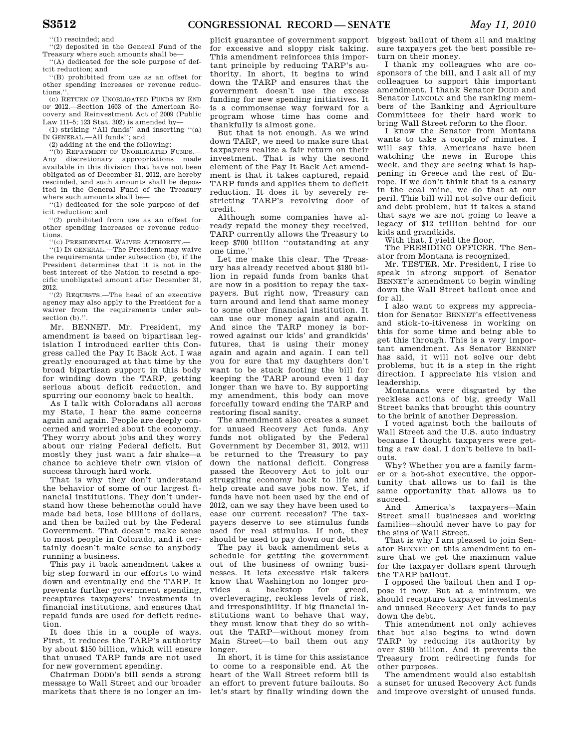''(1) rescinded; and

''(2) deposited in the General Fund of the Treasury where such amounts shall be—

''(A) dedicated for the sole purpose of deficit reduction; and

''(B) prohibited from use as an offset for other spending increases or revenue reductions.'

(c) RETURN OF UNOBLIGATED FUNDS BY END OF 2012.—Section 1603 of the American Recovery and Reinvestment Act of 2009 (Public Law 111–5; 123 Stat. 302) is amended by—

(1) striking ''All funds'' and inserting ''(a) IN GENERAL.—All funds''; and

(2) adding at the end the following:

''(b) REPAYMENT OF UNOBLIGATED FUNDS.— Any discretionary appropriations made available in this division that have not been obligated as of December 31, 2012, are hereby rescinded, and such amounts shall be deposited in the General Fund of the Treasury where such amounts shall be—

''(1) dedicated for the sole purpose of deficit reduction; and

'(2) prohibited from use as an offset for other spending increases or revenue reductions.

'(c) PRESIDENTIAL WAIVER AUTHORITY.-

''(1) IN GENERAL.—The President may waive the requirements under subsection (b), if the President determines that it is not in the best interest of the Nation to rescind a specific unobligated amount after December 31, 2012.

''(2) REQUESTS.—The head of an executive agency may also apply to the President for a waiver from the requirements under subsection (b)."

Mr. BENNET. Mr. President, my amendment is based on bipartisan legislation I introduced earlier this Congress called the Pay It Back Act. I was greatly encouraged at that time by the broad bipartisan support in this body for winding down the TARP, getting serious about deficit reduction, and spurring our economy back to health.

As I talk with Coloradans all across my State, I hear the same concerns again and again. People are deeply concerned and worried about the economy. They worry about jobs and they worry about our rising Federal deficit. But mostly they just want a fair shake—a chance to achieve their own vision of success through hard work.

That is why they don't understand the behavior of some of our largest financial institutions. They don't understand how these behemoths could have made bad bets, lose billions of dollars, and then be bailed out by the Federal Government. That doesn't make sense to most people in Colorado, and it certainly doesn't make sense to anybody running a business.

This pay it back amendment takes a big step forward in our efforts to wind down and eventually end the TARP. It prevents further government spending, recaptures taxpayers' investments in financial institutions, and ensures that repaid funds are used for deficit reduction.

It does this in a couple of ways. First, it reduces the TARP's authority by about \$150 billion, which will ensure that unused TARP funds are not used for new government spending.

Chairman DODD's bill sends a strong message to Wall Street and our broader markets that there is no longer an im-

plicit guarantee of government support for excessive and sloppy risk taking. This amendment reinforces this important principle by reducing TARP's authority. In short, it begins to wind down the TARP and ensures that the government doesn't use the excess funding for new spending initiatives. It is a commonsense way forward for a program whose time has come and thankfully is almost gone.

But that is not enough. As we wind down TARP, we need to make sure that taxpayers realize a fair return on their investment. That is why the second element of the Pay It Back Act amendment is that it takes captured, repaid TARP funds and applies them to deficit reduction. It does it by severely restricting TARP's revolving door of credit.

Although some companies have already repaid the money they received, TARP currently allows the Treasury to keep \$700 billion ''outstanding at any one time.''

Let me make this clear. The Treasury has already received about \$180 billion in repaid funds from banks that are now in a position to repay the taxpayers. But right now, Treasury can turn around and lend that same money to some other financial institution. It can use our money again and again. And since the TARP money is borrowed against our kids' and grandkids' futures, that is using their money again and again and again. I can tell you for sure that my daughters don't want to be stuck footing the bill for keeping the TARP around even 1 day longer than we have to. By supporting my amendment, this body can move forcefully toward ending the TARP and restoring fiscal sanity.

The amendment also creates a sunset for unused Recovery Act funds. Any funds not obligated by the Federal Government by December 31, 2012, will be returned to the Treasury to pay down the national deficit. Congress passed the Recovery Act to jolt our struggling economy back to life and help create and save jobs now. Yet, if funds have not been used by the end of 2012, can we say they have been used to ease our current recession? The taxpayers deserve to see stimulus funds used for real stimulus. If not, they should be used to pay down our debt.

The pay it back amendment sets a schedule for getting the government out of the business of owning businesses. It lets excessive risk takers know that Washington no longer proa backstop for greed, overleveraging, reckless levels of risk, and irresponsibility. If big financial institutions want to behave that way, they must know that they do so without the TARP—without money from Main Street—to bail them out any longer.

In short, it is time for this assistance to come to a responsible end. At the heart of the Wall Street reform bill is an effort to prevent future bailouts. So let's start by finally winding down the

biggest bailout of them all and making sure taxpayers get the best possible return on their money.

I thank my colleagues who are cosponsors of the bill, and I ask all of my colleagues to support this important amendment. I thank Senator DODD and Senator LINCOLN and the ranking members of the Banking and Agriculture Committees for their hard work to bring Wall Street reform to the floor.

I know the Senator from Montana wants to take a couple of minutes. I will say this. Americans have been watching the news in Europe this week, and they are seeing what is happening in Greece and the rest of Europe. If we don't think that is a canary in the coal mine, we do that at our peril. This bill will not solve our deficit and debt problem, but it takes a stand that says we are not going to leave a legacy of \$12 trillion behind for our kids and grandkids.

With that, I yield the floor.

The PRESIDING OFFICER. The Senator from Montana is recognized.

Mr. TESTER. Mr. President, I rise to speak in strong support of Senator BENNET's amendment to begin winding down the Wall Street bailout once and for all.

I also want to express my appreciation for Senator BENNET's effectiveness and stick-to-itiveness in working on this for some time and being able to get this through. This is a very important amendment. As Senator BENNET has said, it will not solve our debt problems, but it is a step in the right direction. I appreciate his vision and leadership.

Montanans were disgusted by the reckless actions of big, greedy Wall Street banks that brought this country to the brink of another Depression.

I voted against both the bailouts of Wall Street and the U.S. auto industry because I thought taxpayers were getting a raw deal. I don't believe in bailouts.

Why? Whether you are a family farmer or a hot-shot executive, the opportunity that allows us to fail is the same opportunity that allows us to succeed.<br>And America's

And America's taxpayers—Main Street small businesses and working families—should never have to pay for the sins of Wall Street.

That is why I am pleased to join Senator BENNET on this amendment to ensure that we get the maximum value for the taxpayer dollars spent through the TARP bailout.

I opposed the bailout then and I oppose it now. But at a minimum, we should recapture taxpayer investments and unused Recovery Act funds to pay down the debt.

This amendment not only achieves that but also begins to wind down TARP by reducing its authority by over \$190 billion. And it prevents the Treasury from redirecting funds for other purposes.

The amendment would also establish a sunset for unused Recovery Act funds and improve oversight of unused funds.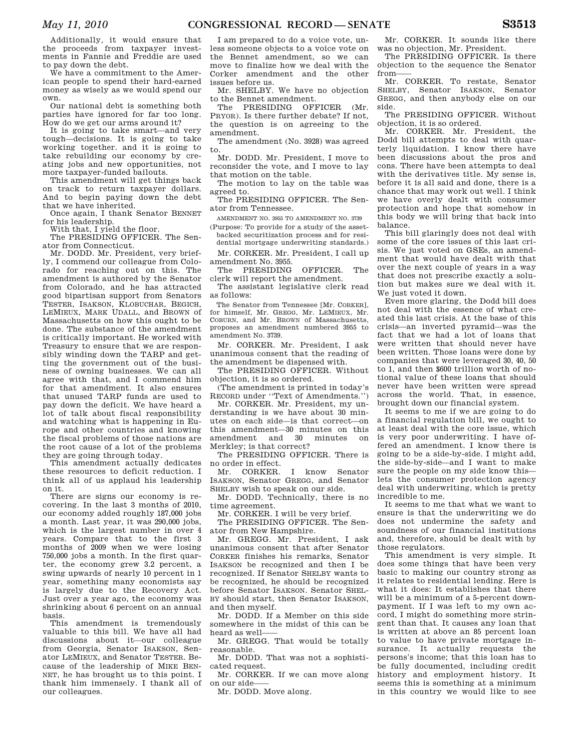Additionally, it would ensure that the proceeds from taxpayer investments in Fannie and Freddie are used to pay down the debt.

We have a commitment to the American people to spend their hard-earned money as wisely as we would spend our own.

Our national debt is something both parties have ignored for far too long. How do we get our arms around it?

It is going to take smart—and very tough—decisions. It is going to take working together. and it is going to take rebuilding our economy by creating jobs and new opportunities, not more taxpayer-funded bailouts.

This amendment will get things back on track to return taxpayer dollars. And to begin paying down the debt that we have inherited.

Once again, I thank Senator BENNET for his leadership.

With that, I yield the floor.

The PRESIDING OFFICER. The Senator from Connecticut.

Mr. DODD. Mr. President, very briefly, I commend our colleague from Colorado for reaching out on this. The amendment is authored by the Senator from Colorado, and he has attracted good bipartisan support from Senators TESTER, ISAKSON, KLOBUCHAR, BEGICH, LEMIEUX, MARK UDALL, and BROWN of Massachusetts on how this ought to be done. The substance of the amendment is critically important. He worked with Treasury to ensure that we are responsibly winding down the TARP and getting the government out of the business of owning businesses. We can all agree with that, and I commend him for that amendment. It also ensures that unused TARP funds are used to pay down the deficit. We have heard a lot of talk about fiscal responsibility and watching what is happening in Europe and other countries and knowing the fiscal problems of those nations are the root cause of a lot of the problems they are going through today.

This amendment actually dedicates these resources to deficit reduction. I think all of us applaud his leadership on it.

There are signs our economy is recovering. In the last 3 months of 2010, our economy added roughly 187,000 jobs a month. Last year, it was 290,000 jobs, which is the largest number in over 4 years. Compare that to the first 3 months of 2009 when we were losing 750,000 jobs a month. In the first quarter, the economy grew 3.2 percent, a swing upwards of nearly 10 percent in 1 year, something many economists say is largely due to the Recovery Act. Just over a year ago, the economy was shrinking about 6 percent on an annual basis.

This amendment is tremendously valuable to this bill. We have all had discussions about it—our colleague from Georgia, Senator ISAKSON, Senator LEMIEUX, and Senator TESTER. Because of the leadership of MIKE BEN-NET, he has brought us to this point. I thank him immensely. I thank all of our colleagues.

I am prepared to do a voice vote, unless someone objects to a voice vote on the Bennet amendment, so we can move to finalize how we deal with the Corker amendment and the other issues before us.

Mr. SHELBY. We have no objection to the Bennet amendment.

The PRESIDING OFFICER (Mr. PRYOR). Is there further debate? If not, the question is on agreeing to the amendment.

The amendment (No. 3928) was agreed to.

Mr. DODD. Mr. President, I move to reconsider the vote, and I move to lay that motion on the table.

The motion to lay on the table was agreed to.

The PRESIDING OFFICER. The Senator from Tennessee.

AMENDMENT NO. 3955 TO AMENDMENT NO. 3739 (Purpose: To provide for a study of the asset-

backed securitization process and for residential mortgage underwriting standards.)

Mr. CORKER. Mr. President, I call up amendment No. 3955.

The PRESIDING OFFICER. The clerk will report the amendment.

The assistant legislative clerk read as follows:

The Senator from Tennessee [Mr. CORKER], for himself, Mr. GREGG, Mr. LEMIEUX, Mr. COBURN, and Mr. BROWN of Massachusetts, proposes an amendment numbered 3955 to amendment No. 3739.

Mr. CORKER. Mr. President, I ask unanimous consent that the reading of the amendment be dispensed with.

The PRESIDING OFFICER. Without objection, it is so ordered.

(The amendment is printed in today's RECORD under ''Text of Amendments.'')

Mr. CORKER. Mr. President, my understanding is we have about 30 minutes on each side—is that correct—on this amendment—30 minutes on this amendment and 30 minutes on Merkley; is that correct?

The PRESIDING OFFICER. There is no order in effect.

Mr. CORKER. I know Senator ISAKSON, Senator GREGG, and Senator SHELBY wish to speak on our side.

Mr. DODD. Technically, there is no

time agreement.

Mr. CORKER. I will be very brief. The PRESIDING OFFICER. The Senator from New Hampshire.

Mr. GREGG. Mr. President, I ask unanimous consent that after Senator CORKER finishes his remarks, Senator ISAKSON be recognized and then I be recognized. If Senator SHELBY wants to be recognized, he should be recognized before Senator ISAKSON. Senator SHEL-BY should start, then Senator ISAKSON, and then myself.

Mr. DODD. If a Member on this side somewhere in the midst of this can be heard as well——

Mr. GREGG. That would be totally reasonable.

Mr. DODD. That was not a sophisticated request.

Mr. CORKER. If we can move along on our side——

Mr. DODD. Move along.

Mr. CORKER. It sounds like there was no objection, Mr. President.

The PRESIDING OFFICER. Is there objection to the sequence the Senator from-

Mr. CORKER. To restate, Senator SHELBY, Senator ISAKSON, Senator GREGG, and then anybody else on our side.

The PRESIDING OFFICER. Without objection, it is so ordered.

Mr. CORKER. Mr. President, the Dodd bill attempts to deal with quarterly liquidation. I know there have been discussions about the pros and cons. There have been attempts to deal with the derivatives title. My sense is, before it is all said and done, there is a chance that may work out well. I think we have overly dealt with consumer protection and hope that somehow in this body we will bring that back into balance.

This bill glaringly does not deal with some of the core issues of this last crisis. We just voted on GSEs, an amendment that would have dealt with that over the next couple of years in a way that does not prescribe exactly a solution but makes sure we deal with it. We just voted it down.

Even more glaring, the Dodd bill does not deal with the essence of what created this last crisis. At the base of this crisis—an inverted pyramid—was the fact that we had a lot of loans that were written that should never have been written. Those loans were done by companies that were leveraged 30, 40, 50 to 1, and then \$600 trillion worth of notional value of these loans that should never have been written were spread across the world. That, in essence, brought down our financial system.

It seems to me if we are going to do a financial regulation bill, we ought to at least deal with the core issue, which is very poor underwriting. I have offered an amendment. I know there is going to be a side-by-side. I might add, the side-by-side—and I want to make sure the people on my side know this lets the consumer protection agency deal with underwriting, which is pretty incredible to me.

It seems to me that what we want to ensure is that the underwriting we do does not undermine the safety and soundness of our financial institutions and, therefore, should be dealt with by those regulators.

This amendment is very simple. It does some things that have been very basic to making our country strong as it relates to residential lending. Here is what it does: It establishes that there will be a minimum of a 5-percent downpayment. If I was left to my own accord, I might do something more stringent than that. It causes any loan that is written at above an 85 percent loan to value to have private mortgage insurance. It actually requests the persons's income; that this loan has to be fully documented, including credit history and employment history. It seems this is something at a minimum in this country we would like to see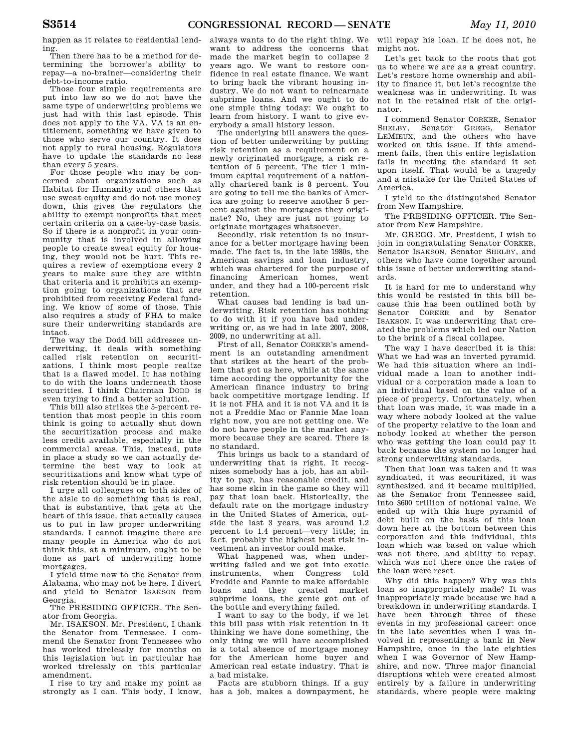happen as it relates to residential lending.

Then there has to be a method for determining the borrower's ability to repay—a no-brainer—considering their debt-to-income ratio.

Those four simple requirements are put into law so we do not have the same type of underwriting problems we just had with this last episode. This does not apply to the VA. VA is an entitlement, something we have given to those who serve our country. It does not apply to rural housing. Regulators have to update the standards no less than every 5 years.

For those people who may be concerned about organizations such as Habitat for Humanity and others that use sweat equity and do not use money down, this gives the regulators the ability to exempt nonprofits that meet certain criteria on a case-by-case basis. So if there is a nonprofit in your community that is involved in allowing people to create sweat equity for housing, they would not be hurt. This requires a review of exemptions every 2 years to make sure they are within that criteria and it prohibits an exemption going to organizations that are prohibited from receiving Federal funding. We know of some of those. This also requires a study of FHA to make sure their underwriting standards are intact.

The way the Dodd bill addresses underwriting, it deals with something called risk retention on securitizations. I think most people realize that is a flawed model. It has nothing to do with the loans underneath those securities. I think Chairman DODD is even trying to find a better solution.

This bill also strikes the 5-percent retention that most people in this room think is going to actually shut down the securitization process and make less credit available, especially in the commercial areas. This, instead, puts in place a study so we can actually determine the best way to look at securitizations and know what type of risk retention should be in place.

I urge all colleagues on both sides of the aisle to do something that is real, that is substantive, that gets at the heart of this issue, that actually causes us to put in law proper underwriting standards. I cannot imagine there are many people in America who do not think this, at a minimum, ought to be done as part of underwriting home mortgages.

I yield time now to the Senator from Alabama, who may not be here. I divert and yield to Senator ISAKSON from Georgia.

The PRESIDING OFFICER. The Senator from Georgia.

Mr. ISAKSON. Mr. President, I thank the Senator from Tennessee. I commend the Senator from Tennessee who has worked tirelessly for months on this legislation but in particular has worked tirelessly on this particular amendment.

I rise to try and make my point as strongly as I can. This body, I know, has a job, makes a downpayment, he

always wants to do the right thing. We want to address the concerns that made the market begin to collapse 2 years ago. We want to restore confidence in real estate finance. We want to bring back the vibrant housing industry. We do not want to reincarnate subprime loans. And we ought to do one simple thing today: We ought to learn from history. I want to give everybody a small history lesson.

The underlying bill answers the question of better underwriting by putting risk retention as a requirement on a newly originated mortgage, a risk retention of 5 percent. The tier 1 minimum capital requirement of a nationally chartered bank is 8 percent. You are going to tell me the banks of America are going to reserve another 5 percent against the mortgages they originate? No, they are just not going to originate mortgages whatsoever.

Secondly, risk retention is no insurance for a better mortgage having been made. The fact is, in the late 1980s, the American savings and loan industry, which was chartered for the purpose of financing American homes, went under, and they had a 100-percent risk retention.

What causes bad lending is bad underwriting. Risk retention has nothing to do with it if you have bad underwriting or, as we had in late 2007, 2008, 2009, no underwriting at all.

First of all, Senator CORKER's amendment is an outstanding amendment that strikes at the heart of the problem that got us here, while at the same time according the opportunity for the American finance industry to bring back competitive mortgage lending. If it is not FHA and it is not VA and it is not a Freddie Mac or Fannie Mae loan right now, you are not getting one. We do not have people in the market anymore because they are scared. There is no standard.

This brings us back to a standard of underwriting that is right. It recognizes somebody has a job, has an ability to pay, has reasonable credit, and has some skin in the game so they will pay that loan back. Historically, the default rate on the mortgage industry in the United States of America, outside the last 3 years, was around 1.2 percent to 1.4 percent—very little; in fact, probably the highest best risk investment an investor could make.

What happened was, when underwriting failed and we got into exotic instruments, when Congress told Freddie and Fannie to make affordable loans and they created market subprime loans, the genie got out of the bottle and everything failed.

I want to say to the body, if we let this bill pass with risk retention in it thinking we have done something, the only thing we will have accomplished is a total absence of mortgage money for the American home buyer and American real estate industry. That is a bad mistake.

Facts are stubborn things. If a guy

will repay his loan. If he does not, he might not.

Let's get back to the roots that got us to where we are as a great country. Let's restore home ownership and ability to finance it, but let's recognize the weakness was in underwriting. It was not in the retained risk of the originator.

I commend Senator CORKER, Senator SHELBY, Senator GREGG, Senator LEMIEUX, and the others who have worked on this issue. If this amendment fails, then this entire legislation fails in meeting the standard it set upon itself. That would be a tragedy and a mistake for the United States of America.

I yield to the distinguished Senator from New Hampshire.

The PRESIDING OFFICER. The Senator from New Hampshire.

Mr. GREGG. Mr. President, I wish to join in congratulating Senator CORKER, Senator ISAKSON, Senator SHELBY, and others who have come together around this issue of better underwriting standards.

It is hard for me to understand why this would be resisted in this bill because this has been outlined both by Senator CORKER and by Senator ISAKSON. It was underwriting that created the problems which led our Nation to the brink of a fiscal collapse.

The way I have described it is this: What we had was an inverted pyramid. We had this situation where an individual made a loan to another individual or a corporation made a loan to an individual based on the value of a piece of property. Unfortunately, when that loan was made, it was made in a way where nobody looked at the value of the property relative to the loan and nobody looked at whether the person who was getting the loan could pay it back because the system no longer had strong underwriting standards.

Then that loan was taken and it was syndicated, it was securitized, it was synthesized, and it became multiplied, as the Senator from Tennessee said, into \$600 trillion of notional value. We ended up with this huge pyramid of debt built on the basis of this loan down here at the bottom between this corporation and this individual, this loan which was based on value which was not there, and ability to repay, which was not there once the rates of the loan were reset.

Why did this happen? Why was this loan so inappropriately made? It was inappropriately made because we had a breakdown in underwriting standards. I have been through three of these events in my professional career: once in the late seventies when I was involved in representing a bank in New Hampshire, once in the late eighties when I was Governor of New Hampshire, and now. Three major financial disruptions which were created almost entirely by a failure in underwriting standards, where people were making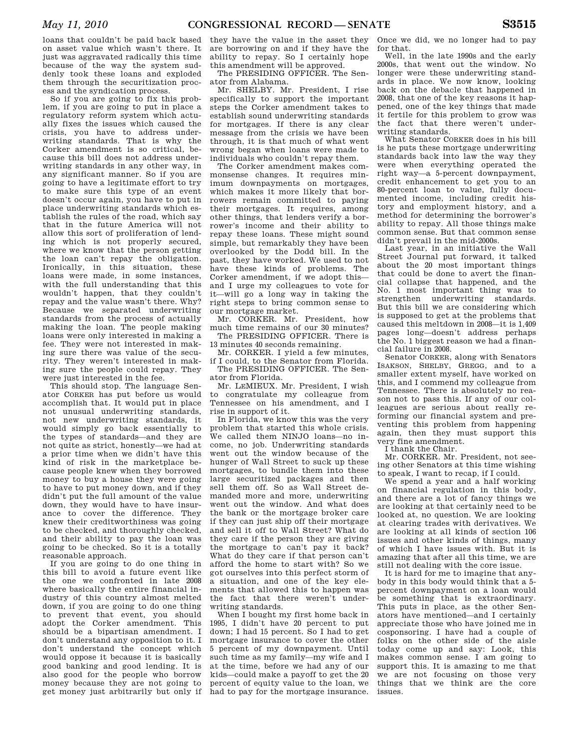loans that couldn't be paid back based on asset value which wasn't there. It just was aggravated radically this time because of the way the system suddenly took these loans and exploded them through the securitization process and the syndication process.

So if you are going to fix this problem, if you are going to put in place a regulatory reform system which actually fixes the issues which caused the crisis, you have to address underwriting standards. That is why the Corker amendment is so critical, because this bill does not address underwriting standards in any other way, in any significant manner. So if you are going to have a legitimate effort to try to make sure this type of an event doesn't occur again, you have to put in place underwriting standards which establish the rules of the road, which say that in the future America will not allow this sort of proliferation of lending which is not properly secured, where we know that the person getting the loan can't repay the obligation. Ironically, in this situation, these loans were made, in some instances, with the full understanding that this wouldn't happen, that they couldn't repay and the value wasn't there. Why? Because we separated underwriting standards from the process of actually making the loan. The people making loans were only interested in making a fee. They were not interested in making sure there was value of the security. They weren't interested in making sure the people could repay. They were just interested in the fee.

This should stop. The language Senator CORKER has put before us would accomplish that. It would put in place not unusual underwriting standards, not new underwriting standards, it would simply go back essentially to the types of standards—and they are not quite as strict, honestly—we had at a prior time when we didn't have this kind of risk in the marketplace because people knew when they borrowed money to buy a house they were going to have to put money down, and if they didn't put the full amount of the value down, they would have to have insurance to cover the difference. They knew their creditworthiness was going to be checked, and thoroughly checked, and their ability to pay the loan was going to be checked. So it is a totally reasonable approach.

If you are going to do one thing in this bill to avoid a future event like the one we confronted in late 2008 where basically the entire financial industry of this country almost melted down, if you are going to do one thing to prevent that event, you should adopt the Corker amendment. This should be a bipartisan amendment. I don't understand any opposition to it. I don't understand the concept which would oppose it because it is basically good banking and good lending. It is also good for the people who borrow money because they are not going to get money just arbitrarily but only if

they have the value in the asset they are borrowing on and if they have the ability to repay. So I certainly hope this amendment will be approved.

The PRESIDING OFFICER. The Senator from Alabama.

Mr. SHELBY. Mr. President, I rise specifically to support the important steps the Corker amendment takes to establish sound underwriting standards for mortgages. If there is any clear message from the crisis we have been through, it is that much of what went wrong began when loans were made to individuals who couldn't repay them.

The Corker amendment makes commonsense changes. It requires minimum downpayments on mortgages, which makes it more likely that borrowers remain committed to paying their mortgages. It requires, among other things, that lenders verify a borrower's income and their ability to repay these loans. These might sound simple, but remarkably they have been overlooked by the Dodd bill. In the past, they have worked. We used to not have these kinds of problems. The Corker amendment, if we adopt this and I urge my colleagues to vote for it—will go a long way in taking the right steps to bring common sense to our mortgage market.

Mr. CORKER. Mr. President, how much time remains of our 30 minutes? The PRESIDING OFFICER. There is

13 minutes 40 seconds remaining. Mr. CORKER. I yield a few minutes,

if I could, to the Senator from Florida. The PRESIDING OFFICER. The Senator from Florida.

Mr. LEMIEUX. Mr. President, I wish to congratulate my colleague from Tennessee on his amendment, and I rise in support of it.

In Florida, we know this was the very problem that started this whole crisis. We called them NINJO loans—no income, no job. Underwriting standards went out the window because of the hunger of Wall Street to suck up these mortgages, to bundle them into these large securitized packages and then sell them off. So as Wall Street demanded more and more, underwriting went out the window. And what does the bank or the mortgage broker care if they can just ship off their mortgage and sell it off to Wall Street? What do they care if the person they are giving the mortgage to can't pay it back? What do they care if that person can't afford the home to start with? So we got ourselves into this perfect storm of a situation, and one of the key elements that allowed this to happen was the fact that there weren't underwriting standards.

When I bought my first home back in 1995, I didn't have 20 percent to put down; I had 15 percent. So I had to get mortgage insurance to cover the other 5 percent of my downpayment. Until such time as my family—my wife and I at the time, before we had any of our kids—could make a payoff to get the 20 percent of equity value to the loan, we had to pay for the mortgage insurance.

Once we did, we no longer had to pay for that.

Well, in the late 1990s and the early 2000s, that went out the window. No longer were these underwriting standards in place. We now know, looking back on the debacle that happened in 2008, that one of the key reasons it happened, one of the key things that made it fertile for this problem to grow was the fact that there weren't underwriting standards.

What Senator CORKER does in his bill is he puts these mortgage underwriting standards back into law the way they were when everything operated the right way—a 5-percent downpayment, credit enhancement to get you to an 80-percent loan to value, fully documented income, including credit history and employment history, and a method for determining the borrower's ability to repay. All those things make common sense. But that common sense didn't prevail in the mid-2000s.

Last year, in an initiative the Wall Street Journal put forward, it talked about the 20 most important things that could be done to avert the financial collapse that happened, and the No. 1 most important thing was to strengthen underwriting standards. But this bill we are considering which is supposed to get at the problems that caused this meltdown in 2008—it is 1,409 pages long—doesn't address perhaps the No. 1 biggest reason we had a financial failure in 2008.

Senator CORKER, along with Senators ISAKSON, SHELBY, GREGG, and to a smaller extent myself, have worked on this, and I commend my colleague from Tennessee. There is absolutely no reason not to pass this. If any of our colleagues are serious about really reforming our financial system and preventing this problem from happening again, then they must support this very fine amendment.

I thank the Chair.

Mr. CORKER. Mr. President, not seeing other Senators at this time wishing to speak, I want to recap, if I could.

We spend a year and a half working on financial regulation in this body, and there are a lot of fancy things we are looking at that certainly need to be looked at, no question. We are looking at clearing trades with derivatives. We are looking at all kinds of section 106 issues and other kinds of things, many of which I have issues with. But it is amazing that after all this time, we are still not dealing with the core issue.

It is hard for me to imagine that anybody in this body would think that a 5 percent downpayment on a loan would be something that is extraordinary. This puts in place, as the other Senators have mentioned—and I certainly appreciate those who have joined me in cosponsoring. I have had a couple of folks on the other side of the aisle today come up and say: Look, this makes common sense. I am going to support this. It is amazing to me that we are not focusing on those very things that we think are the core issues.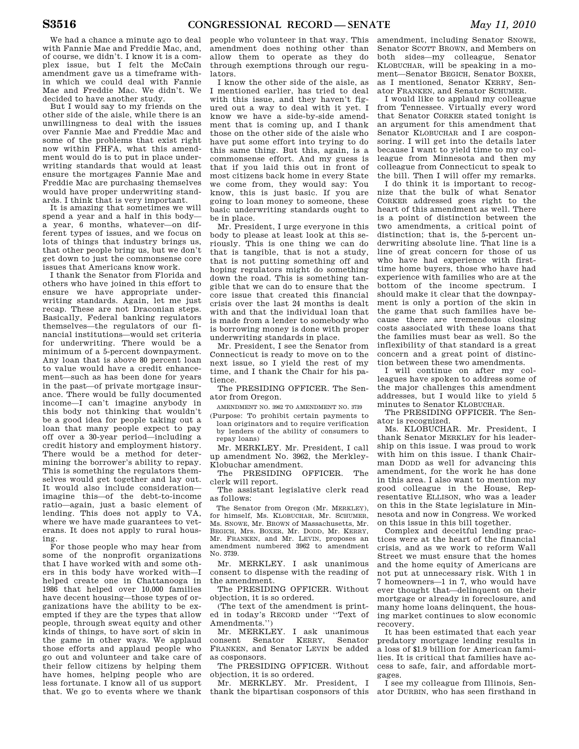We had a chance a minute ago to deal with Fannie Mae and Freddie Mac, and, of course, we didn't. I know it is a complex issue, but I felt the McCain amendment gave us a timeframe within which we could deal with Fannie Mae and Freddie Mac. We didn't. We decided to have another study.

But I would say to my friends on the other side of the aisle, while there is an unwillingness to deal with the issues over Fannie Mae and Freddie Mac and some of the problems that exist right now within FHFA, what this amendment would do is to put in place underwriting standards that would at least ensure the mortgages Fannie Mae and Freddie Mac are purchasing themselves would have proper underwriting standards. I think that is very important.

It is amazing that sometimes we will spend a year and a half in this body a year, 6 months, whatever—on different types of issues, and we focus on lots of things that industry brings us, that other people bring us, but we don't get down to just the commonsense core issues that Americans know work.

I thank the Senator from Florida and others who have joined in this effort to ensure we have appropriate underwriting standards. Again, let me just recap. These are not Draconian steps. Basically, Federal banking regulators themselves—the regulators of our financial institutions—would set criteria for underwriting. There would be a minimum of a 5-percent downpayment. Any loan that is above 80 percent loan to value would have a credit enhancement—such as has been done for years in the past—of private mortgage insurance. There would be fully documented income—I can't imagine anybody in this body not thinking that wouldn't be a good idea for people taking out a loan that many people expect to pay off over a 30-year period—including a credit history and employment history. There would be a method for determining the borrower's ability to repay. This is something the regulators themselves would get together and lay out. It would also include consideration imagine this—of the debt-to-income ratio—again, just a basic element of lending. This does not apply to VA, where we have made guarantees to veterans. It does not apply to rural housing.

For those people who may hear from some of the nonprofit organizations that I have worked with and some others in this body have worked with—I helped create one in Chattanooga in 1986 that helped over 10,000 families have decent housing—those types of organizations have the ability to be exempted if they are the types that allow people, through sweat equity and other kinds of things, to have sort of skin in the game in other ways. We applaud those efforts and applaud people who go out and volunteer and take care of their fellow citizens by helping them have homes, helping people who are less fortunate. I know all of us support that. We go to events where we thank

people who volunteer in that way. This amendment does nothing other than allow them to operate as they do through exemptions through our regulators.

I know the other side of the aisle, as I mentioned earlier, has tried to deal with this issue, and they haven't figured out a way to deal with it yet. I know we have a side-by-side amendment that is coming up, and I thank those on the other side of the aisle who have put some effort into trying to do this same thing. But this, again, is a commonsense effort. And my guess is that if you laid this out in front of most citizens back home in every State we come from, they would say: You know, this is just basic. If you are going to loan money to someone, these basic underwriting standards ought to be in place.

Mr. President, I urge everyone in this body to please at least look at this seriously. This is one thing we can do that is tangible, that is not a study, that is not putting something off and hoping regulators might do something down the road. This is something tangible that we can do to ensure that the core issue that created this financial crisis over the last 24 months is dealt with and that the individual loan that is made from a lender to somebody who is borrowing money is done with proper underwriting standards in place.

Mr. President, I see the Senator from Connecticut is ready to move on to the next issue, so I yield the rest of my time, and I thank the Chair for his patience.

The PRESIDING OFFICER. The Senator from Oregon.

AMENDMENT NO. 3962 TO AMENDMENT NO. 3739

(Purpose: To prohibit certain payments to loan originators and to require verification by lenders of the ability of consumers to repay loans)

Mr. MERKLEY. Mr. President, I call up amendment No. 3962, the Merkley-Klobuchar amendment.

The PRESIDING OFFICER. The clerk will report.

The assistant legislative clerk read as follows:

The Senator from Oregon (Mr. MERKLEY), for himself, Ms. KLOBUCHAR, Mr. SCHUMER, Ms. SNOWE, Mr. BROWN of Massachusetts, Mr. BEGICH, Mrs. BOXER, Mr. DODD, Mr. KERRY, Mr. FRANKEN, and Mr. LEVIN, proposes an amendment numbered 3962 to amendment No. 3739.

Mr. MERKLEY. I ask unanimous consent to dispense with the reading of the amendment.

The PRESIDING OFFICER. Without objection, it is so ordered.

(The text of the amendment is printed in today's RECORD under ''Text of Amendments.'')

Mr. MERKLEY. I ask unanimous consent Senator KERRY, Senator FRANKEN, and Senator LEVIN be added as cosponsors.

The PRESIDING OFFICER. Without objection, it is so ordered.

Mr. MERKLEY. Mr. President, I

amendment, including Senator SNOWE, Senator SCOTT BROWN, and Members on both sides—my colleague, Senator KLOBUCHAR, will be speaking in a moment—Senator BEGICH, Senator BOXER, as I mentioned, Senator KERRY, Senator FRANKEN, and Senator SCHUMER.

I would like to applaud my colleague from Tennessee. Virtually every word that Senator CORKER stated tonight is an argument for this amendment that Senator KLOBUCHAR and I are cosponsoring. I will get into the details later because I want to yield time to my colleague from Minnesota and then my colleague from Connecticut to speak to the bill. Then I will offer my remarks.

I do think it is important to recognize that the bulk of what Senator CORKER addressed goes right to the heart of this amendment as well. There is a point of distinction between the two amendments, a critical point of distinction; that is, the 5-percent underwriting absolute line. That line is a line of great concern for those of us who have had experience with firsttime home buyers, those who have had experience with families who are at the bottom of the income spectrum. I should make it clear that the downpayment is only a portion of the skin in the game that such families have because there are tremendous closing costs associated with these loans that the families must bear as well. So the inflexibility of that standard is a great concern and a great point of distinction between these two amendments.

I will continue on after my colleagues have spoken to address some of the major challenges this amendment addresses, but I would like to yield 5 minutes to Senator KLOBUCHAR.

The PRESIDING OFFICER. The Senator is recognized.

Ms. KLOBUCHAR. Mr. President, I thank Senator MERKLEY for his leadership on this issue. I was proud to work with him on this issue. I thank Chairman DODD as well for advancing this amendment, for the work he has done in this area. I also want to mention my good colleague in the House, Representative ELLISON, who was a leader on this in the State legislature in Minnesota and now in Congress. We worked on this issue in this bill together.

Complex and deceitful lending practices were at the heart of the financial crisis, and as we work to reform Wall Street we must ensure that the homes and the home equity of Americans are not put at unnecessary risk. With 1 in 7 homeowners—1 in 7, who would have ever thought that—delinquent on their mortgage or already in foreclosure, and many home loans delinquent, the housing market continues to slow economic recovery.

It has been estimated that each year predatory mortgage lending results in a loss of \$1.9 billion for American families. It is critical that families have access to safe, fair, and affordable mortgages.

thank the bipartisan cosponsors of this ator DURBIN, who has seen firsthand in I see my colleague from Illinois, Sen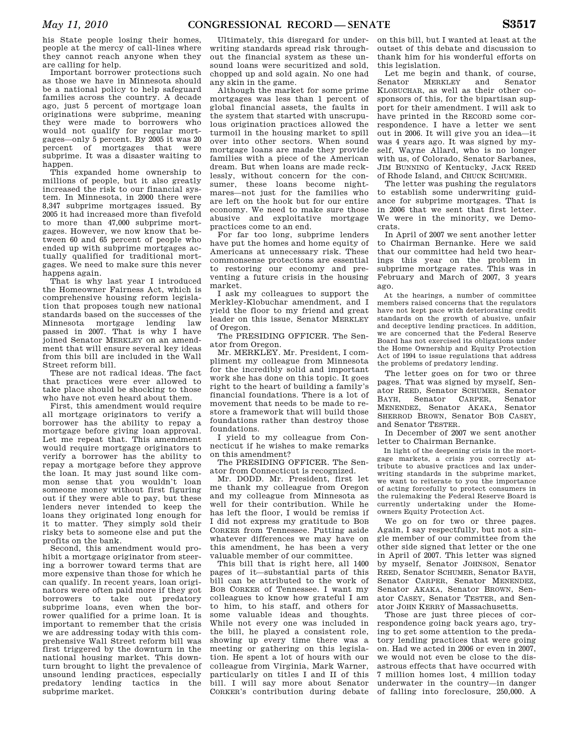his State people losing their homes, people at the mercy of call-lines where they cannot reach anyone when they are calling for help.

Important borrower protections such as those we have in Minnesota should be a national policy to help safeguard families across the country. A decade ago, just 5 percent of mortgage loan originations were subprime, meaning they were made to borrowers who would not qualify for regular mortgages—only 5 percent. By 2005 it was 20 percent of mortgages that were subprime. It was a disaster waiting to happen.

This expanded home ownership to millions of people, but it also greatly increased the risk to our financial system. In Minnesota, in 2000 there were 8,347 subprime mortgages issued. By 2005 it had increased more than fivefold to more than 47,000 subprime mortgages. However, we now know that between 60 and 65 percent of people who ended up with subprime mortgages actually qualified for traditional mortgages. We need to make sure this never happens again.

That is why last year I introduced the Homeowner Fairness Act, which is comprehensive housing reform legislation that proposes tough new national standards based on the successes of the Minnesota mortgage lending law passed in 2007. That is why I have joined Senator MERKLEY on an amendment that will ensure several key ideas from this bill are included in the Wall Street reform bill.

These are not radical ideas. The fact that practices were ever allowed to take place should be shocking to those who have not even heard about them.

First, this amendment would require all mortgage originators to verify a borrower has the ability to repay a mortgage before giving loan approval. Let me repeat that. This amendment would require mortgage originators to verify a borrower has the ability to repay a mortgage before they approve the loan. It may just sound like common sense that you wouldn't loan someone money without first figuring out if they were able to pay, but these lenders never intended to keep the loans they originated long enough for it to matter. They simply sold their risky bets to someone else and put the profits on the bank.

Second, this amendment would prohibit a mortgage originator from steering a borrower toward terms that are more expensive than those for which he can qualify. In recent years, loan originators were often paid more if they got borrowers to take out predatory subprime loans, even when the borrower qualified for a prime loan. It is important to remember that the crisis we are addressing today with this comprehensive Wall Street reform bill was first triggered by the downturn in the national housing market. This downturn brought to light the prevalence of unsound lending practices, especially predatory lending tactics in the subprime market.

Ultimately, this disregard for underwriting standards spread risk throughout the financial system as these unsound loans were securitized and sold, chopped up and sold again. No one had any skin in the game.

Although the market for some prime mortgages was less than 1 percent of global financial assets, the faults in the system that started with unscrupulous origination practices allowed the turmoil in the housing market to spill over into other sectors. When sound mortgage loans are made they provide families with a piece of the American dream. But when loans are made recklessly, without concern for the consumer, these loans become nightmares—not just for the families who are left on the hook but for our entire economy. We need to make sure those abusive and exploitative mortgage practices come to an end.

For far too long, subprime lenders have put the homes and home equity of Americans at unnecessary risk. These commonsense protections are essential to restoring our economy and preventing a future crisis in the housing market.

I ask my colleagues to support the Merkley-Klobuchar amendment, and I yield the floor to my friend and great leader on this issue, Senator MERKLEY of Oregon.

The PRESIDING OFFICER. The Senator from Oregon.

Mr. MERKLEY. Mr. President, I compliment my colleague from Minnesota for the incredibly solid and important work she has done on this topic. It goes right to the heart of building a family's financial foundations. There is a lot of movement that needs to be made to restore a framework that will build those foundations rather than destroy those foundations.

I yield to my colleague from Connecticut if he wishes to make remarks on this amendment?

The PRESIDING OFFICER. The Senator from Connecticut is recognized.

Mr. DODD. Mr. President, first let me thank my colleague from Oregon and my colleague from Minnesota as well for their contribution. While he has left the floor, I would be remiss if I did not express my gratitude to BOB CORKER from Tennessee. Putting aside whatever differences we may have on this amendment, he has been a very valuable member of our committee.

This bill that is right here, all 1400 pages of it—substantial parts of this bill can be attributed to the work of BOB CORKER of Tennessee. I want my colleagues to know how grateful I am to him, to his staff, and others for some valuable ideas and thoughts. While not every one was included in the bill, he played a consistent role, showing up every time there was a meeting or gathering on this legislation. He spent a lot of hours with our colleague from Virginia, Mark Warner, particularly on titles I and II of this bill. I will say more about Senator CORKER's contribution during debate

on this bill, but I wanted at least at the outset of this debate and discussion to thank him for his wonderful efforts on this legislation.

Let me begin and thank, of course, Senator MERKLEY and Senator KLOBUCHAR, as well as their other cosponsors of this, for the bipartisan support for their amendment. I will ask to have printed in the RECORD some correspondence. I have a letter we sent out in 2006. It will give you an idea—it was 4 years ago. It was signed by myself, Wayne Allard, who is no longer with us, of Colorado, Senator Sarbanes, JIM BUNNING of Kentucky, JACK REED of Rhode Island, and CHUCK SCHUMER.

The letter was pushing the regulators to establish some underwriting guidance for subprime mortgages. That is in 2006 that we sent that first letter. We were in the minority, we Democrats.

In April of 2007 we sent another letter to Chairman Bernanke. Here we said that our committee had held two hearings this year on the problem in subprime mortgage rates. This was in February and March of 2007, 3 years ago.

At the hearings, a number of committee members raised concerns that the regulators have not kept pace with deteriorating credit standards on the growth of abusive, unfair and deceptive lending practices. In addition, we are concerned that the Federal Reserve Board has not exercised its obligations under the Home Ownership and Equity Protection Act of 1994 to issue regulations that address the problems of predatory lending.

The letter goes on for two or three pages. That was signed by myself, Senator REED, Senator SCHUMER, Senator BAYH, Senator CARPER, MENENDEZ, Senator AKAKA, Senator SHERROD BROWN, Senator BOB CASEY, and Senator TESTER.

In December of 2007 we sent another letter to Chairman Bernanke.

In light of the deepening crisis in the mortgage markets, a crisis you correctly attribute to abusive practices and lax underwriting standards in the subprime market, we want to reiterate to you the importance of acting forcefully to protect consumers in the rulemaking the Federal Reserve Board is currently undertaking under the Homeowners Equity Protection Act.

We go on for two or three pages. Again, I say respectfully, but not a single member of our committee from the other side signed that letter or the one in April of 2007. This letter was signed by myself, Senator JOHNSON, Senator REED, Senator SCHUMER, Senator BAYH, Senator CARPER, Senator MENENDEZ, Senator AKAKA, Senator BROWN, Senator CASEY, Senator TESTER, and Senator JOHN KERRY of Massachusetts.

Those are just three pieces of correspondence going back years ago, trying to get some attention to the predatory lending practices that were going on. Had we acted in 2006 or even in 2007, we would not even be close to the disastrous effects that have occurred with 7 million homes lost, 4 million today underwater in the country—in danger of falling into foreclosure, 250,000. A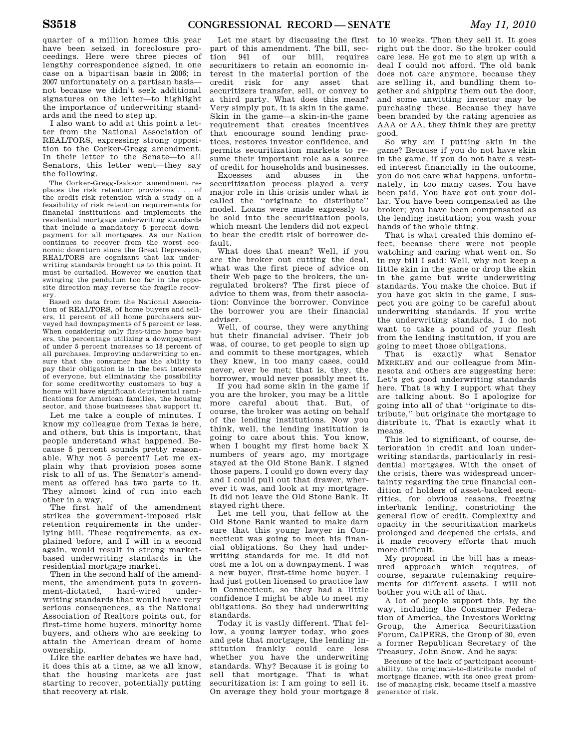quarter of a million homes this year have been seized in foreclosure proceedings. Here were three pieces of lengthy correspondence signed, in one case on a bipartisan basis in 2006; in 2007 unfortunately on a partisan basis not because we didn't seek additional signatures on the letter—to highlight the importance of underwriting standards and the need to step up.

I also want to add at this point a letter from the National Association of REALTORS, expressing strong opposition to the Corker-Gregg amendment. In their letter to the Senate—to all Senators, this letter went—they say the following.

The Corker-Gregg-Isakson amendment replaces the risk retention provisions . . . of the credit risk retention with a study on a feasibility of risk retention requirements for financial institutions and implements the residential mortgage underwriting standards that include a mandatory 5 percent downpayment for all mortgages. As our Nation continues to recover from the worst economic downturn since the Great Depression, REALTORS are cognizant that lax underwriting standards brought us to this point. It must be curtailed. However we caution that swinging the pendulum too far in the opposite direction may reverse the fragile recovery.

Based on data from the National Association of REALTORS, of home buyers and sellers, 11 percent of all home purchasers surveyed had downpayments of 5 percent or less. When considering only first-time home buyers, the percentage utilizing a downpayment of under 5 percent increases to 18 percent of all purchases. Improving underwriting to ensure that the consumer has the ability to pay their obligation is in the best interests of everyone, but eliminating the possibility for some creditworthy customers to buy a home will have significant detrimental ramifications for American families, the housing sector, and those businesses that support it.

Let me take a couple of minutes. I know my colleague from Texas is here, and others, but this is important, that people understand what happened. Because 5 percent sounds pretty reasonable. Why not 5 percent? Let me explain why that provision poses some risk to all of us. The Senator's amendment as offered has two parts to it. They almost kind of run into each other in a way.

The first half of the amendment strikes the government-imposed risk retention requirements in the underlying bill. These requirements, as explained before, and I will in a second again, would result in strong marketbased underwriting standards in the residential mortgage market.

Then in the second half of the amendment, the amendment puts in govern-<br>ment-dictated, hard-wired underment-dictated, hard-wired underwriting standards that would have very serious consequences, as the National Association of Realtors points out, for first-time home buyers, minority home buyers, and others who are seeking to attain the American dream of home ownership.

Like the earlier debates we have had, it does this at a time, as we all know, that the housing markets are just starting to recover, potentially putting that recovery at risk.

Let me start by discussing the first part of this amendment. The bill, section 941 of our bill, requires securitizers to retain an economic interest in the material portion of the credit risk for any asset that securitizers transfer, sell, or convey to a third party. What does this mean? Very simply put, it is skin in the game. Skin in the game—a skin-in-the game requirement that creates incentives that encourage sound lending practices, restores investor confidence, and permits securitization markets to resume their important role as a source

of credit for households and businesses.<br>Excesses and abuses in the Excesses and abuses in securitization process played a very major role in this crisis under what is called the ''originate to distribute'' model. Loans were made expressly to be sold into the securitization pools, which meant the lenders did not expect to bear the credit risk of borrower default.

What does that mean? Well, if you are the broker out cutting the deal, what was the first piece of advice on their Web page to the brokers, the unregulated brokers? The first piece of advice to them was, from their association: Convince the borrower. Convince the borrower you are their financial adviser.

Well, of course, they were anything but their financial adviser. Their job was, of course, to get people to sign up and commit to these mortgages, which they knew, in too many cases, could never, ever be met; that is, they, the borrower, would never possibly meet it.

If you had some skin in the game if you are the broker, you may be a little more careful about that. But, of course, the broker was acting on behalf of the lending institutions. Now you think, well, the lending institution is going to care about this. You know, when I bought my first home back X numbers of years ago, my mortgage stayed at the Old Stone Bank. I signed those papers. I could go down every day and I could pull out that drawer, wherever it was, and look at my mortgage. It did not leave the Old Stone Bank. It stayed right there.

Let me tell you, that fellow at the Old Stone Bank wanted to make darn sure that this young lawyer in Connecticut was going to meet his financial obligations. So they had underwriting standards for me. It did not cost me a lot on a downpayment. I was a new buyer, first-time home buyer. I had just gotten licensed to practice law in Connecticut, so they had a little confidence I might be able to meet my obligations. So they had underwriting standards.

Today it is vastly different. That fellow, a young lawyer today, who goes and gets that mortgage, the lending institution frankly could care less whether you have the underwriting standards. Why? Because it is going to sell that mortgage. That is what securitization is: I am going to sell it. On average they hold your mortgage 8

to 10 weeks. Then they sell it. It goes right out the door. So the broker could care less. He got me to sign up with a deal I could not afford. The old bank does not care anymore, because they are selling it, and bundling them together and shipping them out the door, and some unwitting investor may be purchasing these. Because they have been branded by the rating agencies as AAA or AA, they think they are pretty good.

So why am I putting skin in the game? Because if you do not have skin in the game, if you do not have a vested interest financially in the outcome, you do not care what happens, unfortunately, in too many cases. You have been paid. You have got out your dollar. You have been compensated as the broker; you have been compensated as the lending institution; you wash your hands of the whole thing.

That is what created this domino effect, because there were not people watching and caring what went on. So in my bill I said: Well, why not keep a little skin in the game or drop the skin in the game but write underwriting standards. You make the choice. But if you have got skin in the game, I suspect you are going to be careful about underwriting standards. If you write the underwriting standards, I do not want to take a pound of your flesh from the lending institution, if you are going to meet those obligations.

That is exactly what Senator MERKLEY and our colleague from Minnesota and others are suggesting here: Let's get good underwriting standards here. That is why I support what they are talking about. So I apologize for going into all of that ''originate to distribute,'' but originate the mortgage to distribute it. That is exactly what it means.

This led to significant, of course, deterioration in credit and loan underwriting standards, particularly in residential mortgages. With the onset of the crisis, there was widespread uncertainty regarding the true financial condition of holders of asset-backed securities, for obvious reasons, freezing interbank lending, constricting the general flow of credit. Complexity and opacity in the securitization markets prolonged and deepened the crisis, and it made recovery efforts that much more difficult.

My proposal in the bill has a measured approach which requires, of course, separate rulemaking requirements for different assets. I will not bother you with all of that.

A lot of people support this, by the way, including the Consumer Federation of America, the Investors Working Group, the America Securitization Forum, CalPERS, the Group of 30, even a former Republican Secretary of the Treasury, John Snow. And he says:

Because of the lack of participant accountability, the originate-to-distribute model of mortgage finance, with its once great promise of managing risk, became itself a massive generator of risk.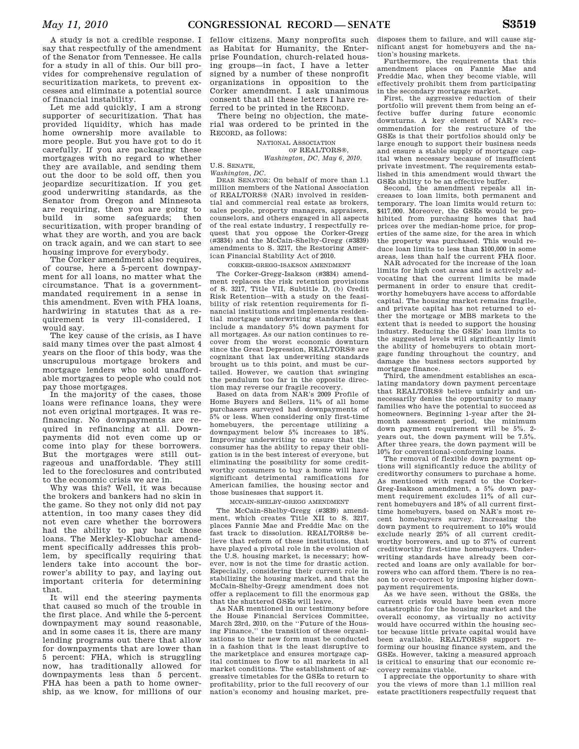A study is not a credible response. I say that respectfully of the amendment of the Senator from Tennessee. He calls for a study in all of this. Our bill provides for comprehensive regulation of securitization markets, to prevent excesses and eliminate a potential source of financial instability.

Let me add quickly, I am a strong supporter of securitization. That has provided liquidity, which has made home ownership more available to more people. But you have got to do it carefully. If you are packaging these mortgages with no regard to whether they are available, and sending them out the door to be sold off, then you jeopardize securitization. If you get good underwriting standards, as the Senator from Oregon and Minnesota are requiring, then you are going to build in some safeguards; then securitization, with proper branding of what they are worth, and you are back on track again, and we can start to see housing improve for everybody.

The Corker amendment also requires, of course, here a 5-percent downpayment for all loans, no matter what the circumstance. That is a governmentmandated requirement in a sense in this amendment. Even with FHA loans, hardwiring in statutes that as a requirement is very ill-considered, I would say.

The key cause of the crisis, as I have said many times over the past almost 4 years on the floor of this body, was the unscrupulous mortgage brokers and mortgage lenders who sold unaffordable mortgages to people who could not pay those mortgages.

In the majority of the cases, those loans were refinance loans, they were not even original mortgages. It was refinancing. No downpayments are required in refinancing at all. Downpayments did not even come up or come into play for these borrowers. But the mortgages were still outrageous and unaffordable. They still led to the foreclosures and contributed to the economic crisis we are in.

Why was this? Well, it was because the brokers and bankers had no skin in the game. So they not only did not pay attention, in too many cases they did not even care whether the borrowers had the ability to pay back those loans. The Merkley-Klobuchar amendment specifically addresses this problem, by specifically requiring that lenders take into account the borrower's ability to pay, and laying out important criteria for determining that.

It will end the steering payments that caused so much of the trouble in the first place. And while the 5-percent downpayment may sound reasonable, and in some cases it is, there are many lending programs out there that allow for downpayments that are lower than 5 percent: FHA, which is struggling now, has traditionally allowed for downpayments less than 5 percent. FHA has been a path to home ownership, as we know, for millions of our

fellow citizens. Many nonprofits such as Habitat for Humanity, the Enterprise Foundation, church-related housing groups—in fact, I have a letter signed by a number of these nonprofit organizations in opposition to the Corker amendment. I ask unanimous consent that all these letters I have referred to be printed in the RECORD.

There being no objection, the material was ordered to be printed in the RECORD, as follows:

> NATIONAL ASSOCIATION OF REALTORS®,

*Washington, DC, May 6, 2010.*  U.S. SENATE,

*Washington, DC.* 

DEAR SENATOR: On behalf of more than 1.1 million members of the National Association of REALTORS® (NAR) involved in residential and commercial real estate as brokers, sales people, property managers, appraisers, counselors, and others engaged in all aspects of the real estate industry, I respectfully request that you oppose the Corker-Gregg (#3834) and the McCain-Shelby-Gregg (#3839) amendments to S. 3217, the Restoring American Financial Stability Act of 2010.

CORKER-GREGG-ISAKSON AMENDMENT

The Corker-Gregg-Isakson (#3834) amendment replaces the risk retention provisions of S. 3217, Title VII, Subtitle D, (b) Credit Risk Retention—with a study on the feasibility of risk retention requirements for financial institutions and implements residential mortgage underwriting standards that include a mandatory 5% down payment for all mortgages. As our nation continues to recover from the worst economic downturn since the Great Depression, REALTORS® are cognizant that lax underwriting standards brought us to this point, and must be curtailed. However, we caution that swinging the pendulum too far in the opposite direction may reverse our fragile recovery.

Based on data from NAR's 2009 Profile of Home Buyers and Sellers, 11% of all home purchasers surveyed had downpayments of 5% or less. When considering only first-time homebuyers, the percentage utilizing a downpayment below 5% increases to 18%. Improving underwriting to ensure that the consumer has the ability to repay their obligation is in the best interest of everyone, but eliminating the possibility for some creditworthy consumers to buy a home will have significant detrimental ramifications for American families, the housing sector and those businesses that support it.

#### MCCAIN-SHELBY-GREGG AMENDMENT

The McCain-Shelby-Gregg (#3839) amendment, which creates Title XII to S. 3217, places Fannie Mae and Freddie Mac on the fast track to dissolution. REALTORS® believe that reform of these institutions, that have played a pivotal role in the evolution of the U.S. housing market, is necessary; however, now is not the time for drastic action. Especially, considering their current role in stabilizing the housing market, and that the McCain-Shelby-Gregg amendment does not offer a replacement to fill the enormous gap that the shuttered GSEs will leave.

As NAR mentioned in our testimony before the House Financial Services Committee, March 23rd, 2010, on the ''Future of the Housing Finance,'' the transition of these organizations to their new form must be conducted in a fashion that is the least disruptive to the marketplace and ensures mortgage capital continues to flow to all markets in all market conditions. The establishment of aggressive timetables for the GSEs to return to profitability, prior to the full recovery of our nation's economy and housing market, predisposes them to failure, and will cause significant angst for homebuyers and the nation's housing markets.

Furthermore, the requirements that this amendment places on Fannie Mae and Freddie Mac, when they become viable, will effectively prohibit them from participating in the secondary mortgage market.

First, the aggressive reduction of their portfolio will prevent them from being an effective buffer during future economic downturns. A key element of NAR's recommendation for the restructure of the GSEs is that their portfolios should only be large enough to support their business needs and ensure a stable supply of mortgage capital when necessary because of insufficient private investment. The requirements established in this amendment would thwart the GSEs ability to be an effective buffer.

Second, the amendment repeals all increases to loan limits, both permanent and temporary. The loan limits would return to: \$417,000. Moreover, the GSEs would be prohibited from purchasing homes that had prices over the median-home price, for properties of the same size, for the area in which the property was purchased. This would reduce loan limits to less than \$100,000 in some

areas, less than half the current FHA floor. NAR advocated for the increase of the loan limits for high cost areas and is actively advocating that the current limits be made permanent in order to ensure that creditworthy homebuyers have access to affordable capital. The housing market remains fragile, and private capital has not returned to either the mortgage or MBS markets to the extent that is needed to support the housing industry. Reducing the GSEs' loan limits to the suggested levels will significantly limit the ability of homebuyers to obtain mortgage funding throughout the country, and damage the business sectors supported by mortgage finance.

Third, the amendment establishes an escalating mandatory down payment percentage that REALTORS® believe unfairly and unnecessarily denies the opportunity to many families who have the potential to succeed as homeowners. Beginning 1-year after the 24 month assessment period, the minimum down payment requirement will be 5%. 2 years out, the down payment will be 7.5%. After three years, the down payment will be 10% for conventional-conforming loans.

The removal of flexible down payment options will significantly reduce the ability of creditworthy consumers to purchase a home. As mentioned with regard to the Corker-Greg-Isakson amendment, a 5% down payment requirement excludes 11% of all current homebuyers and 18% of all current firsttime homebuyers, based on NAR's most recent homebuyers survey. Increasing the down payment to requirement to 10% would exclude nearly 25% of all current creditworthy borrowers, and up to 37% of current creditworthy first-time homebuyers. Underwriting standards have already been corrected and loans are only available for borrowers who can afford them. There is no reason to over-correct by imposing higher downpayment requirements.

As we have seen, without the GSEs, the current crisis would have been even more catastrophic for the housing market and the overall economy, as virtually no activity would have occurred within the housing sector because little private capital would have been available. REALTORS® support reforming our housing finance system, and the GSEs. However, taking a measured approach is critical to ensuring that our economic recovery remains viable.

I appreciate the opportunity to share with you the views of more than 1.1 million real estate practitioners respectfully request that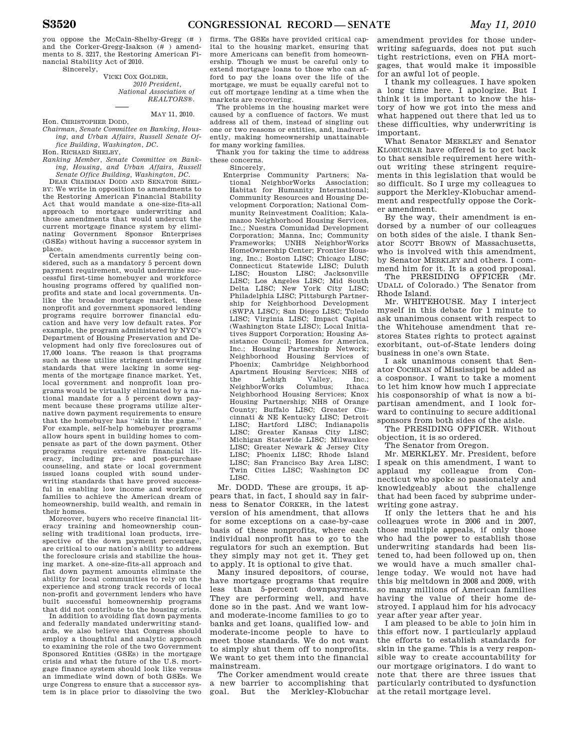you oppose the McCain-Shelby-Gregg (# ) and the Corker-Gregg-Isakson (# ) amendments to S. 3217, the Restoring American Financial Stability Act of 2010. Sincerely,

VICKI COX GOLDER, *2010 President, National Association of REALTORS*®*.* 

MAY 11, 2010.

Hon. CHRISTOPHER DODD,

*Chairman, Senate Committee on Banking, Housing, and Urban Affairs, Russell Senate Office Building, Washington, DC.* 

Hon. RICHARD SHELBY,

*Ranking Member, Senate Committee on Banking, Housing, and Urban Affairs, Russell Senate Office Building, Washington, DC.* 

DEAR CHAIRMAN DODD AND SENATOR SHEL-BY: We write in opposition to amendments to the Restoring American Financial Stability Act that would mandate a one-size-fits-all approach to mortgage underwriting and those amendments that would undercut the current mortgage finance system by eliminating Government Sponsor Enterprises (GSEs) without having a successor system in place.

Certain amendments currently being considered, such as a mandatory 5 percent down payment requirement, would undermine successful first-time homebuyer and workforce housing programs offered by qualified nonprofits and state and local governments. Unlike the broader mortgage market, these nonprofit and government sponsored lending programs require borrower financial education and have very low default rates. For example, the program administered by NYC's Department of Housing Preservation and Development had only five foreclosures out of 17,000 loans. The reason is that programs such as these utilize stringent underwriting standards that were lacking in some segments of the mortgage finance market. Yet, local government and nonprofit loan programs would be virtually eliminated by a national mandate for a 5 percent down payment because these programs utilize alternative down payment requirements to ensure that the homebuyer has ''skin in the game.'' For example, self-help homebuyer programs allow hours spent in building homes to compensate as part of the down payment. Other programs require extensive financial literacy, including pre- and post-purchase counseling, and state or local government issued loans coupled with sound underwriting standards that have proved successful in enabling low income and workforce families to achieve the American dream of homeownership, build wealth, and remain in their homes.

Moreover, buyers who receive financial literacy training and homeownership counseling with traditional loan products, irrespective of the down payment percentage, are critical to our nation's ability to address the foreclosure crisis and stabilize the housing market. A one-size-fits-all approach and flat down payment amounts eliminate the ability for local communities to rely on the experience and strong track records of local non-profit and government lenders who have built successful homeownership programs that did not contribute to the housing crisis.

In addition to avoiding flat down payments and federally mandated underwriting standards, we also believe that Congress should employ a thoughtful and analytic approach to examining the role of the two Government Sponsored Entities (GSEs) in the mortgage crisis and what the future of the U.S. mortgage finance system should look like versus an immediate wind down of both GSEs. We urge Congress to ensure that a successor system is in place prior to dissolving the two

firms. The GSEs have provided critical capital to the housing market, ensuring that more Americans can benefit from homeownership. Though we must be careful only to extend mortgage loans to those who can afford to pay the loans over the life of the mortgage, we must be equally careful not to cut off mortgage lending at a time when the markets are recovering.

The problems in the housing market were caused by a confluence of factors. We must address all of them, instead of singling out one or two reasons or entities, and, inadvertently, making homeownership unattainable for many working families.

Thank you for taking the time to address these concerns.

Sincerely,

Enterprise Community Partners; National NeighborWorks Association; Habitat for Humanity International; Community Resources and Housing Development Corporation; National Community Reinvestment Coalition; Kalamazoo Neighborhood Housing Services, Inc.; Nuestra Comunidad Development Corporation; Manna, Inc; Community Frameworks; UNHS NeighborWorks HomeOwnership Center; Frontier Housing, Inc.; Boston LISC; Chicago LISC; Connecticut Statewide LISC; Duluth LISC; Houston LISC; Jacksonville LISC; Los Angeles LISC; Mid South Delta LISC; New York City LISC; Philadelphia LISC; Pittsburgh Partnership for Neighborhood Development (SWPA LISC); San Diego LISC; Toledo LISC; Virginia LISC; Impact Capital (Washington State LISC); Local Initiatives Support Corporation; Housing Assistance Council; Homes for America, Inc.; Housing Partnership Network; Neighborhood Housing Services of Phoenix; Cambridge Neighborhood Apartment Housing Services; NHS of<br>the Lehigh Valley. Inc.: Lehigh NeighborWorks Columbus; Ithaca Neighborhood Housing Services; Knox Housing Partnership; NHS of Orange County; Buffalo LISC; Greater Cincinnati & NE Kentucky LISC; Detroit LISC; Hartford LISC; Indianapolis LISC; Greater Kansas City LISC; Michigan Statewide LISC; Milwaukee LISC; Greater Newark & Jersey City LISC; Phoenix LISC; Rhode Island LISC; San Francisco Bay Area LISC; Twin Cities LISC; Washington DC LISC.

Mr. DODD. These are groups, it appears that, in fact, I should say in fairness to Senator CORKER, in the latest version of his amendment, that allows for some exceptions on a case-by-case basis of these nonprofits, where each individual nonprofit has to go to the regulators for such an exemption. But they simply may not get it. They get to apply. It is optional to give that.

Many insured depositors, of course, have mortgage programs that require less than 5-percent downpayments. They are performing well, and have done so in the past. And we want lowand moderate-income families to go to banks and get loans, qualified low- and moderate-income people to have to meet those standards. We do not want to simply shut them off to nonprofits. We want to get them into the financial mainstream.

The Corker amendment would create a new barrier to accomplishing that goal. But the Merkley-Klobuchar amendment provides for those underwriting safeguards, does not put such tight restrictions, even on FHA mortgages, that would make it impossible for an awful lot of people.

I thank my colleagues. I have spoken a long time here. I apologize. But I think it is important to know the history of how we got into the mess and what happened out there that led us to these difficulties, why underwriting is important.

What Senator MERKLEY and Senator KLOBUCHAR have offered is to get back to that sensible requirement here without writing these stringent requirements in this legislation that would be so difficult. So I urge my colleagues to support the Merkley-Klobuchar amendment and respectfully oppose the Corker amendment.

By the way, their amendment is endorsed by a number of our colleagues on both sides of the aisle. I thank Senator SCOTT BROWN of Massachusetts, who is involved with this amendment, by Senator MERKLEY and others. I commend him for it. It is a good proposal.

The PRESIDING OFFICER (Mr. UDALL of Colorado.) The Senator from Rhode Island.

Mr. WHITEHOUSE. May I interject myself in this debate for 1 minute to ask unanimous consent with respect to the Whitehouse amendment that restores States rights to protect against exorbitant, out-of-State lenders doing business in one's own State.

I ask unanimous consent that Senator COCHRAN of Mississippi be added as a cosponsor. I want to take a moment to let him know how much I appreciate his cosponsorship of what is now a bipartisan amendment, and I look forward to continuing to secure additional sponsors from both sides of the aisle.

The PRESIDING OFFICER. Without objection, it is so ordered.

The Senator from Oregon.

Mr. MERKLEY. Mr. President, before I speak on this amendment, I want to applaud my colleague from Connecticut who spoke so passionately and knowledgeably about the challenge that had been faced by subprime underwriting gone astray.

If only the letters that he and his colleagues wrote in 2006 and in 2007, those multiple appeals, if only those who had the power to establish those underwriting standards had been listened to, had been followed up on, then we would have a much smaller challenge today. We would not have had this big meltdown in 2008 and 2009, with so many millions of American families having the value of their home destroyed. I applaud him for his advocacy year after year after year.

I am pleased to be able to join him in this effort now. I particularly applaud the efforts to establish standards for skin in the game. This is a very responsible way to create accountability for our mortgage originators. I do want to note that there are three issues that particularly contributed to dysfunction at the retail mortgage level.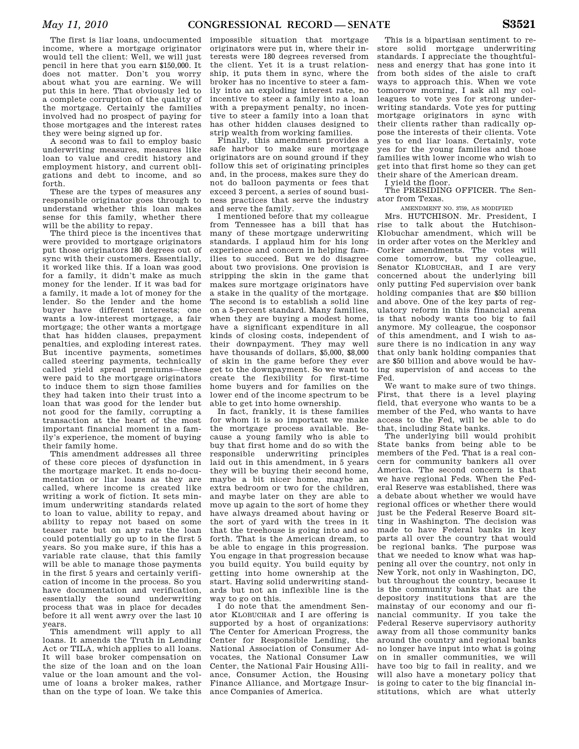The first is liar loans, undocumented income, where a mortgage originator would tell the client: Well, we will just pencil in here that you earn \$150,000. It does not matter. Don't you worry about what you are earning. We will put this in here. That obviously led to a complete corruption of the quality of the mortgage. Certainly the families involved had no prospect of paying for those mortgages and the interest rates they were being signed up for.

A second was to fail to employ basic underwriting measures, measures like loan to value and credit history and employment history, and current obligations and debt to income, and so forth.

These are the types of measures any responsible originator goes through to understand whether this loan makes sense for this family, whether there will be the ability to repay.

The third piece is the incentives that were provided to mortgage originators put those originators 180 degrees out of sync with their customers. Essentially, it worked like this. If a loan was good for a family, it didn't make as much money for the lender. If it was bad for a family, it made a lot of money for the lender. So the lender and the home buyer have different interests; one wants a low-interest mortgage, a fair mortgage; the other wants a mortgage that has hidden clauses, prepayment penalties, and exploding interest rates. But incentive payments, sometimes called steering payments, technically called yield spread premiums—these were paid to the mortgage originators to induce them to sign those families they had taken into their trust into a loan that was good for the lender but not good for the family, corrupting a transaction at the heart of the most important financial moment in a family's experience, the moment of buying their family home.

This amendment addresses all three of these core pieces of dysfunction in the mortgage market. It ends no-documentation or liar loans as they are called, where income is created like writing a work of fiction. It sets minimum underwriting standards related to loan to value, ability to repay, and ability to repay not based on some teaser rate but on any rate the loan could potentially go up to in the first 5 years. So you make sure, if this has a variable rate clause, that this family will be able to manage those payments in the first 5 years and certainly verification of income in the process. So you have documentation and verification, essentially the sound underwriting process that was in place for decades before it all went awry over the last 10 years.

This amendment will apply to all loans. It amends the Truth in Lending Act or TILA, which applies to all loans. It will base broker compensation on the size of the loan and on the loan value or the loan amount and the volume of loans a broker makes, rather than on the type of loan. We take this

impossible situation that mortgage originators were put in, where their interests were 180 degrees reversed from the client. Yet it is a trust relationship, it puts them in sync, where the broker has no incentive to steer a family into an exploding interest rate, no incentive to steer a family into a loan with a prepayment penalty, no incentive to steer a family into a loan that has other hidden clauses designed to strip wealth from working families.

Finally, this amendment provides a safe harbor to make sure mortgage originators are on sound ground if they follow this set of originating principles and, in the process, makes sure they do not do balloon payments or fees that exceed 3 percent, a series of sound business practices that serve the industry and serve the family.

I mentioned before that my colleague from Tennessee has a bill that has many of these mortgage underwriting standards. I applaud him for his long experience and concern in helping families to succeed. But we do disagree about two provisions. One provision is stripping the skin in the game that makes sure mortgage originators have a stake in the quality of the mortgage. The second is to establish a solid line on a 5-percent standard. Many families, when they are buying a modest home, have a significant expenditure in all kinds of closing costs, independent of their downpayment. They may well have thousands of dollars, \$5,000, \$8,000 of skin in the game before they ever get to the downpayment. So we want to create the flexibility for first-time home buyers and for families on the lower end of the income spectrum to be able to get into home ownership.

In fact, frankly, it is these families for whom it is so important we make the mortgage process available. Because a young family who is able to buy that first home and do so with the responsible underwriting principles laid out in this amendment, in 5 years they will be buying their second home, maybe a bit nicer home, maybe an extra bedroom or two for the children, and maybe later on they are able to move up again to the sort of home they have always dreamed about having or the sort of yard with the trees in it that the treehouse is going into and so forth. That is the American dream, to be able to engage in this progression. You engage in that progression because you build equity. You build equity by getting into home ownership at the start. Having solid underwriting standards but not an inflexible line is the way to go on this.

I do note that the amendment Senator KLOBUCHAR and I are offering is supported by a host of organizations: The Center for American Progress, the Center for Responsible Lending, the National Association of Consumer Advocates, the National Consumer Law Center, the National Fair Housing Alliance, Consumer Action, the Housing Finance Alliance, and Mortgage Insurance Companies of America.

This is a bipartisan sentiment to restore solid mortgage underwriting standards. I appreciate the thoughtfulness and energy that has gone into it from both sides of the aisle to craft ways to approach this. When we vote tomorrow morning, I ask all my colleagues to vote yes for strong underwriting standards. Vote yes for putting mortgage originators in sync with their clients rather than radically oppose the interests of their clients. Vote yes to end liar loans. Certainly, vote yes for the young families and those families with lower income who wish to get into that first home so they can get their share of the American dream.

I yield the floor.

The PRESIDING OFFICER. The Senator from Texas.

AMENDMENT NO. 3759, AS MODIFIED

Mrs. HUTCHISON. Mr. President, I rise to talk about the Hutchison-Klobuchar amendment, which will be in order after votes on the Merkley and Corker amendments. The votes will come tomorrow, but my colleague, Senator KLOBUCHAR, and I are very concerned about the underlying bill only putting Fed supervision over bank holding companies that are \$50 billion and above. One of the key parts of regulatory reform in this financial arena is that nobody wants too big to fail anymore. My colleague, the cosponsor of this amendment, and I wish to assure there is no indication in any way that only bank holding companies that are \$50 billion and above would be having supervision of and access to the Fed.

We want to make sure of two things. First, that there is a level playing field, that everyone who wants to be a member of the Fed, who wants to have access to the Fed, will be able to do that, including State banks.

The underlying bill would prohibit State banks from being able to be members of the Fed. That is a real concern for community bankers all over America. The second concern is that we have regional Feds. When the Federal Reserve was established, there was a debate about whether we would have regional offices or whether there would just be the Federal Reserve Board sitting in Washington. The decision was made to have Federal banks in key parts all over the country that would be regional banks. The purpose was that we needed to know what was happening all over the country, not only in New York, not only in Washington, DC, but throughout the country, because it is the community banks that are the depository institutions that are the mainstay of our economy and our financial community. If you take the Federal Reserve supervisory authority away from all those community banks around the country and regional banks no longer have input into what is going on in smaller communities, we will have too big to fail in reality, and we will also have a monetary policy that is going to cater to the big financial institutions, which are what utterly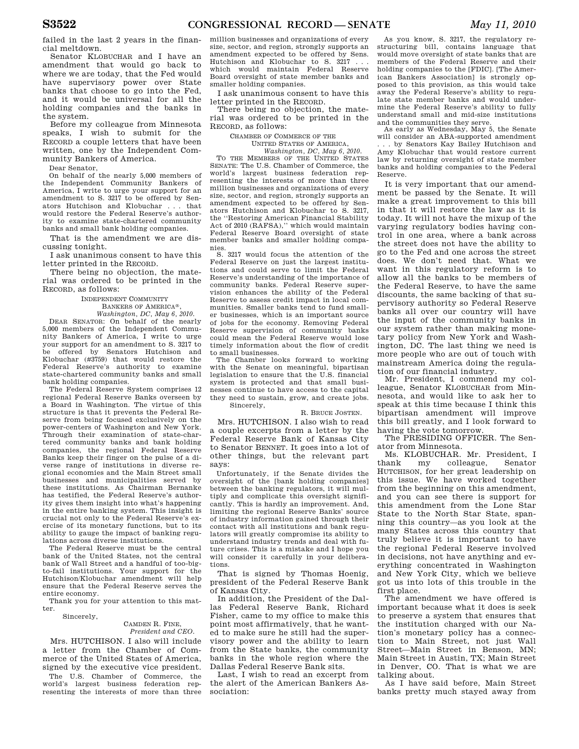failed in the last 2 years in the financial meltdown.

Senator KLOBUCHAR and I have an amendment that would go back to where we are today, that the Fed would have supervisory power over State banks that choose to go into the Fed, and it would be universal for all the holding companies and the banks in the system.

Before my colleague from Minnesota speaks, I wish to submit for the RECORD a couple letters that have been written, one by the Independent Community Bankers of America.

Dear Senator,

On behalf of the nearly 5,000 members of the Independent Community Bankers of America, I write to urge your support for an amendment to S. 3217 to be offered by Senators Hutchison and Klobuchar . . . that would restore the Federal Reserve's authority to examine state-chartered community banks and small bank holding companies.

That is the amendment we are discussing tonight.

I ask unanimous consent to have this letter printed in the RECORD.

There being no objection, the material was ordered to be printed in the RECORD, as follows:

INDEPENDENT COMMUNITY

BANKERS OF AMERICA®, *Washington, DC, May 6, 2010.* 

DEAR SENATOR: On behalf of the nearly 5,000 members of the Independent Community Bankers of America, I write to urge your support for an amendment to S. 3217 to be offered by Senators Hutchison and Klobuchar (#3759) that would restore the Federal Reserve's authority to examine state-chartered community banks and small bank holding companies.

The Federal Reserve System comprises 12 regional Federal Reserve Banks overseen by a Board in Washington. The virtue of this structure is that it prevents the Federal Reserve from being focused exclusively on the power-centers of Washington and New York. Through their examination of state-chartered community banks and bank holding companies, the regional Federal Reserve Banks keep their finger on the pulse of a diverse range of institutions in diverse regional economies and the Main Street small businesses and municipalities served by these institutions. As Chairman Bernanke has testified, the Federal Reserve's authority gives them insight into what's happening in the entire banking system. This insight is crucial not only to the Federal Reserve's exercise of its monetary functions, but to its ability to gauge the impact of banking regulations across diverse institutions.

The Federal Reserve must be the central bank of the United States, not the central bank of Wall Street and a handful of too-bigto-fail institutions. Your support for the Hutchison/Klobuchar amendment will help ensure that the Federal Reserve serves the entire economy.

Thank you for your attention to this matter.

#### Sincerely,

### CAMDEN R. FINE, *President and CEO.*

Mrs. HUTCHISON. I also will include a letter from the Chamber of Commerce of the United States of America, signed by the executive vice president.

The U.S. Chamber of Commerce, the world's largest business federation representing the interests of more than three million businesses and organizations of every size, sector, and region, strongly supports an amendment expected to be offered by Sens. Hutchison and Klobuchar to S. 3217 . . . which would maintain Federal Reserve Board oversight of state member banks and smaller holding companies.

I ask unanimous consent to have this letter printed in the RECORD.

There being no objection, the material was ordered to be printed in the RECORD, as follows:

> CHAMBER OF COMMERCE OF THE UNITED STATES OF AMERICA,

*Washington, DC, May 6, 2010.*  TO THE MEMBERS OF THE UNITED STATES SENATE: The U.S. Chamber of Commerce, the world's largest business federation representing the interests of more than three million businesses and organizations of every size, sector, and region, strongly supports an amendment expected to be offered by Senators Hutchison and Klobuchar to S. 3217, the ''Restoring American Financial Stability Act of 2010 (RAFSA),'' which would maintain Federal Reserve Board oversight of state member banks and smaller holding companies.

S. 3217 would focus the attention of the Federal Reserve on just the largest institutions and could serve to limit the Federal Reserve's understanding of the importance of community banks. Federal Reserve supervision enhances the ability of the Federal Reserve to assess credit impact in local communities. Smaller banks tend to fund smaller businesses, which is an important source of jobs for the economy. Removing Federal Reserve supervision of community banks could mean the Federal Reserve would lose timely information about the flow of credit to small businesses.

The Chamber looks forward to working with the Senate on meaningful, bipartisan legislation to ensure that the U.S. financial system is protected and that small businesses continue to have access to the capital they need to sustain, grow, and create jobs. Sincerely,

#### R. BRUCE JOSTEN.

Mrs. HUTCHISON. I also wish to read a couple excerpts from a letter by the Federal Reserve Bank of Kansas City to Senator BENNET. It goes into a lot of other things, but the relevant part says:

Unfortunately, if the Senate divides the oversight of the [bank holding companies] between the banking regulators, it will multiply and complicate this oversight significantly. This is hardly an improvement. And, limiting the regional Reserve Banks' source of industry information gained through their contact with all institutions and bank regulators will greatly compromise its ability to understand industry trends and deal with future crises. This is a mistake and I hope you will consider it carefully in your deliberations.

That is signed by Thomas Hoenig, president of the Federal Reserve Bank of Kansas City.

In addition, the President of the Dallas Federal Reserve Bank, Richard Fisher, came to my office to make this point most affirmatively, that he wanted to make sure he still had the supervisory power and the ability to learn from the State banks, the community banks in the whole region where the Dallas Federal Reserve Bank sits.

Last, I wish to read an excerpt from the alert of the American Bankers Association:

As you know, S. 3217, the regulatory restructuring bill, contains language that would move oversight of state banks that are members of the Federal Reserve and their holding companies to the [FDIC]. [The American Bankers Association] is strongly opposed to this provision, as this would take away the Federal Reserve's ability to regulate state member banks and would undermine the Federal Reserve's ability to fully understand small and mid-size institutions and the communities they serve.

As early as Wednesday, May 5, the Senate will consider an ABA-supported amendment . . . by Senators Kay Bailey Hutchison and Amy Klobuchar that would restore current law by returning oversight of state member banks and holding companies to the Federal

Reserve. It is very important that our amendment be passed by the Senate. It will make a great improvement to this bill in that it will restore the law as it is today. It will not have the mixup of the varying regulatory bodies having control in one area, where a bank across the street does not have the ability to go to the Fed and one across the street does. We don't need that. What we want in this regulatory reform is to allow all the banks to be members of the Federal Reserve, to have the same discounts, the same backing of that supervisory authority so Federal Reserve banks all over our country will have the input of the community banks in our system rather than making monetary policy from New York and Washington, DC. The last thing we need is more people who are out of touch with mainstream America doing the regulation of our financial industry.

Mr. President, I commend my colleague, Senator KLOBUCHAR from Minnesota, and would like to ask her to speak at this time because I think this bipartisan amendment will improve this bill greatly, and I look forward to having the vote tomorrow.

The PRESIDING OFFICER. The Senator from Minnesota.

Ms. KLOBUCHAR. Mr. President, I thank my colleague, Senator HUTCHISON, for her great leadership on this issue. We have worked together from the beginning on this amendment, and you can see there is support for this amendment from the Lone Star State to the North Star State, spanning this country—as you look at the many States across this country that truly believe it is important to have the regional Federal Reserve involved in decisions, not have anything and everything concentrated in Washington and New York City, which we believe got us into lots of this trouble in the first place.

The amendment we have offered is important because what it does is seek to preserve a system that ensures that the institution charged with our Nation's monetary policy has a connection to Main Street, not just Wall Street—Main Street in Benson, MN; Main Street in Austin, TX; Main Street in Denver, CO. That is what we are talking about.

As I have said before, Main Street banks pretty much stayed away from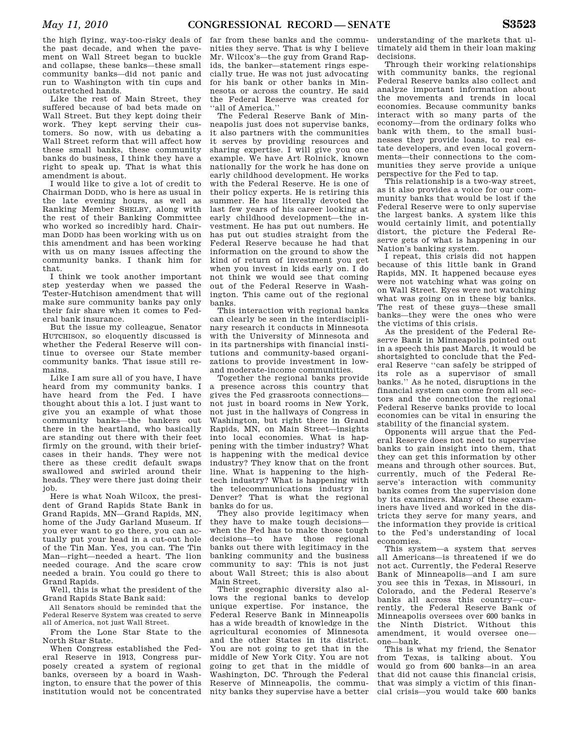the high flying, way-too-risky deals of the past decade, and when the pavement on Wall Street began to buckle and collapse, these banks—these small community banks—did not panic and run to Washington with tin cups and outstretched hands.

Like the rest of Main Street, they suffered because of bad bets made on Wall Street. But they kept doing their work. They kept serving their customers. So now, with us debating a Wall Street reform that will affect how these small banks, these community banks do business, I think they have a right to speak up. That is what this amendment is about.

I would like to give a lot of credit to Chairman DODD, who is here as usual in the late evening hours, as well as Ranking Member SHELBY, along with the rest of their Banking Committee who worked so incredibly hard. Chairman DODD has been working with us on this amendment and has been working with us on many issues affecting the community banks. I thank him for that.

I think we took another important step yesterday when we passed the Tester-Hutchison amendment that will make sure community banks pay only their fair share when it comes to Federal bank insurance.

But the issue my colleague, Senator HUTCHISON, so eloquently discussed is whether the Federal Reserve will continue to oversee our State member community banks. That issue still remains.

Like I am sure all of you have, I have heard from my community banks. I have heard from the Fed. I have thought about this a lot. I just want to give you an example of what those community banks—the bankers out there in the heartland, who basically are standing out there with their feet firmly on the ground, with their briefcases in their hands. They were not there as these credit default swaps swallowed and swirled around their heads. They were there just doing their job.

Here is what Noah Wilcox, the president of Grand Rapids State Bank in Grand Rapids, MN—Grand Rapids, MN, home of the Judy Garland Museum. If you ever want to go there, you can actually put your head in a cut-out hole of the Tin Man. Yes, you can. The Tin Man—right—needed a heart. The lion needed courage. And the scare crow needed a brain. You could go there to Grand Rapids.

Well, this is what the president of the Grand Rapids State Bank said:

All Senators should be reminded that the Federal Reserve System was created to serve all of America, not just Wall Street.

From the Lone Star State to the North Star State.

When Congress established the Federal Reserve in 1913, Congress purposely created a system of regional banks, overseen by a board in Washington, to ensure that the power of this institution would not be concentrated

far from these banks and the communities they serve. That is why I believe Mr. Wilcox's—the guy from Grand Rapids, the banker—statement rings especially true. He was not just advocating for his bank or other banks in Minnesota or across the country. He said the Federal Reserve was created for ''all of America.''

The Federal Reserve Bank of Minneapolis just does not supervise banks, it also partners with the communities it serves by providing resources and sharing expertise. I will give you one example. We have Art Rolnick, known nationally for the work he has done on early childhood development. He works with the Federal Reserve. He is one of their policy experts. He is retiring this summer. He has literally devoted the last few years of his career looking at early childhood development—the investment. He has put out numbers. He has put out studies straight from the Federal Reserve because he had that information on the ground to show the kind of return of investment you get when you invest in kids early on. I do not think we would see that coming out of the Federal Reserve in Washington. This came out of the regional banks.

This interaction with regional banks can clearly be seen in the interdisciplinary research it conducts in Minnesota with the University of Minnesota and in its partnerships with financial institutions and community-based organizations to provide investment in lowand moderate-income communities.

Together the regional banks provide a presence across this country that gives the Fed grassroots connections not just in board rooms in New York, not just in the hallways of Congress in Washington, but right there in Grand Rapids, MN, on Main Street—insights into local economies. What is happening with the timber industry? What is happening with the medical device industry? They know that on the front line. What is happening to the hightech industry? What is happening with the telecommunications industry in Denver? That is what the regional banks do for us.

They also provide legitimacy when they have to make tough decisions when the Fed has to make those tough decisions—to have those regional banks out there with legitimacy in the banking community and the business community to say: This is not just about Wall Street; this is also about Main Street.

Their geographic diversity also allows the regional banks to develop unique expertise. For instance, the Federal Reserve Bank in Minneapolis has a wide breadth of knowledge in the agricultural economies of Minnesota and the other States in its district. You are not going to get that in the middle of New York City. You are not going to get that in the middle of Washington, DC. Through the Federal Reserve of Minneapolis, the community banks they supervise have a better

understanding of the markets that ultimately aid them in their loan making decisions.

Through their working relationships with community banks, the regional Federal Reserve banks also collect and analyze important information about the movements and trends in local economies. Because community banks interact with so many parts of the economy—from the ordinary folks who bank with them, to the small businesses they provide loans, to real estate developers, and even local governments—their connections to the communities they serve provide a unique perspective for the Fed to tap.

This relationship is a two-way street, as it also provides a voice for our community banks that would be lost if the Federal Reserve were to only supervise the largest banks. A system like this would certainly limit, and potentially distort, the picture the Federal Reserve gets of what is happening in our Nation's banking system.

I repeat, this crisis did not happen because of this little bank in Grand Rapids, MN. It happened because eyes were not watching what was going on on Wall Street. Eyes were not watching what was going on in these big banks. The rest of these guys—these small banks—they were the ones who were the victims of this crisis.

As the president of the Federal Reserve Bank in Minneapolis pointed out in a speech this past March, it would be shortsighted to conclude that the Federal Reserve ''can safely be stripped of its role as a supervisor of small banks.'' As he noted, disruptions in the financial system can come from all sectors and the connection the regional Federal Reserve banks provide to local economies can be vital in ensuring the stability of the financial system.

Opponents will argue that the Federal Reserve does not need to supervise banks to gain insight into them, that they can get this information by other means and through other sources. But, currently, much of the Federal Reserve's interaction with community banks comes from the supervision done by its examiners. Many of these examiners have lived and worked in the districts they serve for many years, and the information they provide is critical to the Fed's understanding of local economies.

This system—a system that serves all Americans—is threatened if we do not act. Currently, the Federal Reserve Bank of Minneapolis—and I am sure you see this in Texas, in Missouri, in Colorado, and the Federal Reserve's banks all across this country—currently, the Federal Reserve Bank of Minneapolis oversees over 600 banks in the Ninth District. Without this amendment, it would oversee one one—bank.

This is what my friend, the Senator from Texas, is talking about. You would go from 600 banks—in an area that did not cause this financial crisis, that was simply a victim of this financial crisis—you would take 600 banks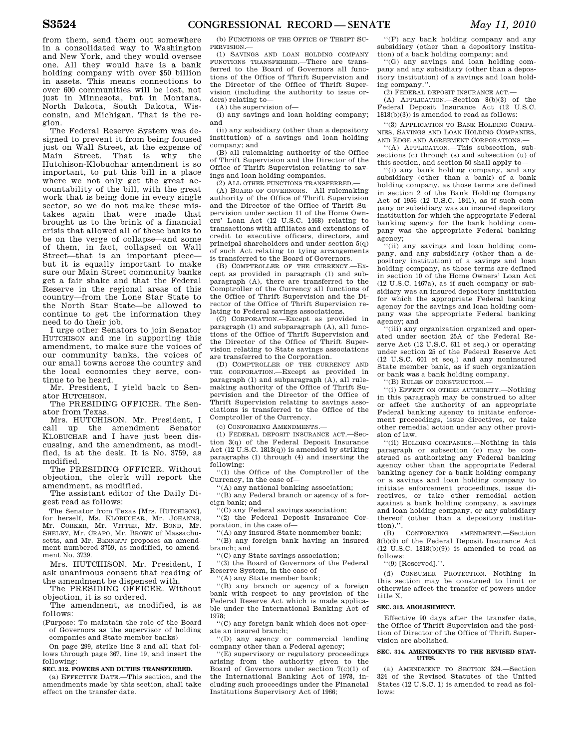from them, send them out somewhere in a consolidated way to Washington and New York, and they would oversee one. All they would have is a bank holding company with over \$50 billion in assets. This means connections to over 600 communities will be lost, not just in Minnesota, but in Montana, North Dakota, South Dakota, Wisconsin, and Michigan. That is the region.

The Federal Reserve System was designed to prevent it from being focused just on Wall Street, at the expense of Main Street. That is why the Hutchison-Klobuchar amendment is so important, to put this bill in a place where we not only get the great accountability of the bill, with the great work that is being done in every single sector, so we do not make these mistakes again that were made that brought us to the brink of a financial crisis that allowed all of these banks to be on the verge of collapse—and some of them, in fact, collapsed on Wall Street—that is an important piece but it is equally important to make sure our Main Street community banks get a fair shake and that the Federal Reserve in the regional areas of this country—from the Lone Star State to the North Star State—be allowed to continue to get the information they need to do their job.

I urge other Senators to join Senator HUTCHISON and me in supporting this amendment, to make sure the voices of our community banks, the voices of our small towns across the country and the local economies they serve, continue to be heard.

Mr. President, I yield back to Senator HUTCHISON.

The PRESIDING OFFICER. The Senator from Texas.

Mrs. HUTCHISON. Mr. President, I call up the amendment Senator KLOBUCHAR and I have just been discussing, and the amendment, as modified, is at the desk. It is No. 3759, as modified.

The PRESIDING OFFICER. Without objection, the clerk will report the amendment, as modified.

The assistant editor of the Daily Digest read as follows:

The Senator from Texas [Mrs. HUTCHISON], for herself, Ms. KLOBUCHAR, Mr. JOHANNS, Mr. CORKER, Mr. VITTER, Mr. BOND, Mr. SHELBY, Mr. CRAPO, Mr. BROWN of Massachusetts, and Mr. BENNETT proposes an amendment numbered 3759, as modified, to amendment No. 3739.

Mrs. HUTCHISON. Mr. President, I ask unanimous consent that reading of the amendment be dispensed with.

The PRESIDING OFFICER. Without objection, it is so ordered.

The amendment, as modified, is as follows:

(Purpose: To maintain the role of the Board of Governors as the supervisor of holding companies and State member banks)

On page 299, strike line 3 and all that follows through page 367, line 19, and insert the following:

### **SEC. 312. POWERS AND DUTIES TRANSFERRED.**

(a) EFFECTIVE DATE.—This section, and the amendments made by this section, shall take effect on the transfer date.

(b) FUNCTIONS OF THE OFFICE OF THRIFT SU-PERVISION.—

(1) SAVINGS AND LOAN HOLDING COMPANY FUNCTIONS TRANSFERRED.—There are transferred to the Board of Governors all functions of the Office of Thrift Supervision and the Director of the Office of Thrift Supervision (including the authority to issue orders) relating to—

(A) the supervision of—

(i) any savings and loan holding company; and

(ii) any subsidiary (other than a depository institution) of a savings and loan holding company; and

(B) all rulemaking authority of the Office of Thrift Supervision and the Director of the Office of Thrift Supervision relating to savings and loan holding companies.

(2) ALL OTHER FUNCTIONS TRANSFERRED.—

 $(A)$  BOARD OF GOVERNORS  $-$ All rulemaking authority of the Office of Thrift Supervision and the Director of the Office of Thrift Supervision under section 11 of the Home Owners' Loan Act (12 U.S.C. 1468) relating to transactions with affiliates and extensions of credit to executive officers, directors, and principal shareholders and under section  $5(q)$ of such Act relating to tying arrangements is transferred to the Board of Governors.

(B) COMPTROLLER OF THE CURRENCY.—Except as provided in paragraph (1) and subparagraph (A), there are transferred to the Comptroller of the Currency all functions of the Office of Thrift Supervision and the Director of the Office of Thrift Supervision relating to Federal savings associations.

(C) CORPORATION.—Except as provided in paragraph (1) and subparagraph (A), all functions of the Office of Thrift Supervision and the Director of the Office of Thrift Supervision relating to State savings associations are transferred to the Corporation.

(D) COMPTROLLER OF THE CURRENCY AND THE CORPORATION.—Except as provided in paragraph (1) and subparagraph (A), all rulemaking authority of the Office of Thrift Supervision and the Director of the Office of Thrift Supervision relating to savings associations is transferred to the Office of the Comptroller of the Currency.

(c) CONFORMING AMENDMENTS.—

(1) FEDERAL DEPOSIT INSURANCE ACT.—Section 3(q) of the Federal Deposit Insurance Act (12 U.S.C.  $1813(q)$ ) is amended by striking paragraphs (1) through (4) and inserting the following:

''(1) the Office of the Comptroller of the Currency, in the case of—

''(A) any national banking association;

''(B) any Federal branch or agency of a foreign bank; and

''(C) any Federal savings association;

''(2) the Federal Deposit Insurance Corporation, in the case of—

''(A) any insured State nonmember bank; ''(B) any foreign bank having an insured branch; and

''(C) any State savings association;

''(3) the Board of Governors of the Federal Reserve System, in the case of—

''(A) any State member bank;

''(B) any branch or agency of a foreign bank with respect to any provision of the Federal Reserve Act which is made applicable under the International Banking Act of 1978;

''(C) any foreign bank which does not operate an insured branch;

''(D) any agency or commercial lending company other than a Federal agency;

''(E) supervisory or regulatory proceedings arising from the authority given to the Board of Governors under section 7(c)(1) of the International Banking Act of 1978, including such proceedings under the Financial Institutions Supervisory Act of 1966;

''(F) any bank holding company and any subsidiary (other than a depository institution) of a bank holding company; and

''(G) any savings and loan holding company and any subsidiary (other than a depository institution) of a savings and loan holding company."

(2) FEDERAL DEPOSIT INSURANCE ACT.—

(A) APPLICATION.—Section 8(b)(3) of the Federal Deposit Insurance Act (12 U.S.C. 1818(b)(3)) is amended to read as follows:

''(3) APPLICATION TO BANK HOLDING COMPA-NIES, SAVINGS AND LOAN HOLDING COMPANIES, AND EDGE AND AGREEMENT CORPORATIONS.—

''(A) APPLICATION.—This subsection, subsections (c) through (s) and subsection (u) of this section, and section 50 shall apply to—

''(i) any bank holding company, and any subsidiary (other than a bank) of a bank holding company, as those terms are defined in section 2 of the Bank Holding Company Act of 1956 (12 U.S.C. 1841), as if such company or subsidiary was an insured depository institution for which the appropriate Federal banking agency for the bank holding company was the appropriate Federal banking agency;

''(ii) any savings and loan holding company, and any subsidiary (other than a depository institution) of a savings and loan holding company, as those terms are defined in section 10 of the Home Owners' Loan Act (12 U.S.C. 1467a), as if such company or subsidiary was an insured depository institution for which the appropriate Federal banking agency for the savings and loan holding company was the appropriate Federal banking agency; and

''(iii) any organization organized and operated under section 25A of the Federal Reserve Act (12 U.S.C. 611 et seq.) or operating under section 25 of the Federal Reserve Act (12 U.S.C. 601 et seq.) and any noninsured State member bank, as if such organization or bank was a bank holding company.

''(B) RULES OF CONSTRUCTION.—

''(i) EFFECT ON OTHER AUTHORITY.—Nothing in this paragraph may be construed to alter or affect the authority of an appropriate Federal banking agency to initiate enforcement proceedings, issue directives, or take other remedial action under any other provision of law.

''(ii) HOLDING COMPANIES.—Nothing in this paragraph or subsection (c) may be construed as authorizing any Federal banking agency other than the appropriate Federal banking agency for a bank holding company or a savings and loan holding company to initiate enforcement proceedings, issue directives, or take other remedial action against a bank holding company, a savings and loan holding company, or any subsidiary thereof (other than a depository institu-

tion).".<br>(B) CONFORMING AMENDMENT.—Section  $8(b)(9)$  of the Federal Deposit Insurance Act  $(12 \text{ U.S.C. } 1818(b)(9))$  is amended to read as follows:

''(9) [Reserved].''.

(d) CONSUMER PROTECTION.—Nothing in this section may be construed to limit or otherwise affect the transfer of powers under title X.

### **SEC. 313. ABOLISHMENT.**

Effective 90 days after the transfer date, the Office of Thrift Supervision and the position of Director of the Office of Thrift Supervision are abolished.

#### **SEC. 314. AMENDMENTS TO THE REVISED STAT-UTES.**

(a) AMENDMENT TO SECTION 324.—Section 324 of the Revised Statutes of the United States (12 U.S.C. 1) is amended to read as follows: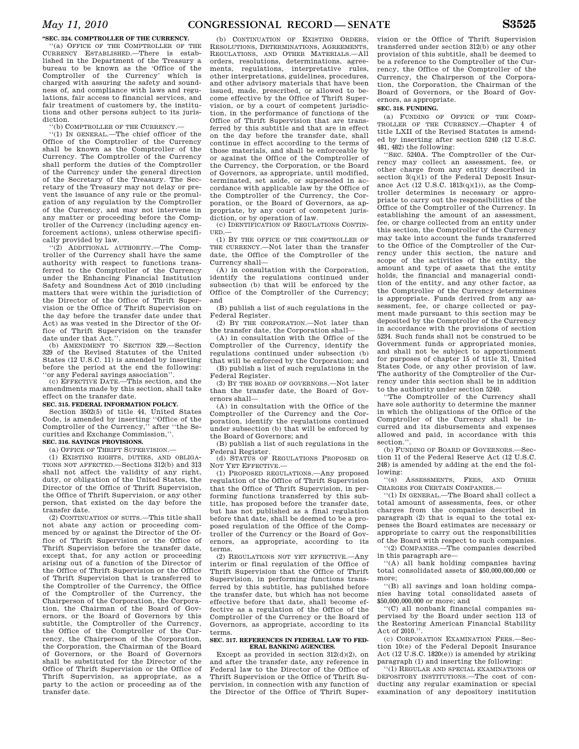### **''SEC. 324. COMPTROLLER OF THE CURRENCY.**

''(a) OFFICE OF THE COMPTROLLER OF THE CURRENCY ESTABLISHED.—There is established in the Department of the Treasury a bureau to be known as the 'Office of the Comptroller of the Currency' which is charged with assuring the safety and soundness of, and compliance with laws and regulations, fair access to financial services, and fair treatment of customers by, the institutions and other persons subject to its jurisdiction.

''(b) COMPTROLLER OF THE CURRENCY.—

''(1) IN GENERAL.—The chief officer of the Office of the Comptroller of the Currency shall be known as the Comptroller of the Currency. The Comptroller of the Currency shall perform the duties of the Comptroller of the Currency under the general direction of the Secretary of the Treasury. The Secretary of the Treasury may not delay or prevent the issuance of any rule or the promulgation of any regulation by the Comptroller of the Currency, and may not intervene in any matter or proceeding before the Comptroller of the Currency (including agency enforcement actions), unless otherwise specifically provided by law.

''(2) ADDITIONAL AUTHORITY.—The Comptroller of the Currency shall have the same authority with respect to functions transferred to the Comptroller of the Currency under the Enhancing Financial Institution Safety and Soundness Act of 2010 (including matters that were within the jurisdiction of the Director of the Office of Thrift Supervision or the Office of Thrift Supervision on the day before the transfer date under that Act) as was vested in the Director of the Office of Thrift Supervision on the transfer date under that Act.''.

(b) AMENDMENT TO SECTION 329.—Section 329 of the Revised Statutes of the United States (12 U.S.C. 11) is amended by inserting before the period at the end the following: 'or any Federal savings association".

(c) EFFECTIVE DATE.—This section, and the amendments made by this section, shall take effect on the transfer date.

### **SEC. 315. FEDERAL INFORMATION POLICY.**

Section 3502(5) of title 44, United States Code, is amended by inserting ''Office of the Comptroller of the Currency,'' after ''the Securities and Exchange Commission,''. **SEC. 316. SAVINGS PROVISIONS.** 

### (a) OFFICE OF THRIFT SUPERVISION.—

(1) EXISTING RIGHTS, DUTIES, AND OBLIGA-

TIONS NOT AFFECTED.—Sections 312(b) and 313 shall not affect the validity of any right, duty, or obligation of the United States, the Director of the Office of Thrift Supervision, the Office of Thrift Supervision, or any other person, that existed on the day before the transfer date.

(2) CONTINUATION OF SUITS.—This title shall not abate any action or proceeding commenced by or against the Director of the Office of Thrift Supervision or the Office of Thrift Supervision before the transfer date, except that, for any action or proceeding arising out of a function of the Director of the Office of Thrift Supervision or the Office of Thrift Supervision that is transferred to the Comptroller of the Currency, the Office of the Comptroller of the Currency, the Chairperson of the Corporation, the Corporation, the Chairman of the Board of Governors, or the Board of Governors by this subtitle, the Comptroller of the Currency, the Office of the Comptroller of the Currency, the Chairperson of the Corporation, the Corporation, the Chairman of the Board of Governors, or the Board of Governors shall be substituted for the Director of the Office of Thrift Supervision or the Office of Thrift Supervision, as appropriate, as a party to the action or proceeding as of the transfer date.

(b) CONTINUATION OF EXISTING ORDERS, RESOLUTIONS, DETERMINATIONS, AGREEMENTS, REGULATIONS, AND OTHER MATERIALS.—All orders, resolutions, determinations, agreements, regulations, interpretative rules, other interpretations, guidelines, procedures, and other advisory materials that have been issued, made, prescribed, or allowed to become effective by the Office of Thrift Supervision, or by a court of competent jurisdiction, in the performance of functions of the Office of Thrift Supervision that are transferred by this subtitle and that are in effect on the day before the transfer date, shall continue in effect according to the terms of those materials, and shall be enforceable by or against the Office of the Comptroller of the Currency, the Corporation, or the Board of Governors, as appropriate, until modified, terminated, set aside, or superseded in accordance with applicable law by the Office of the Comptroller of the Currency, the Corporation, or the Board of Governors, as appropriate, by any court of competent jurisdiction, or by operation of law.

(c) IDENTIFICATION OF REGULATIONS CONTIN-UED.—

(1) BY THE OFFICE OF THE COMPTROLLER OF THE CURRENCY.—Not later than the transfer date, the Office of the Comptroller of the Currency shall—

(A) in consultation with the Corporation, identify the regulations continued under subsection (b) that will be enforced by the Office of the Comptroller of the Currency; and

(B) publish a list of such regulations in the Federal Register.

(2) BY THE CORPORATION.—Not later than the transfer date, the Corporation shall—

(A) in consultation with the Office of the Comptroller of the Currency, identify the regulations continued under subsection (b) that will be enforced by the Corporation; and (B) publish a list of such regulations in the Federal Register.

(3) BY THE BOARD OF GOVERNORS.—Not later than the transfer date, the Board of Governors shall—

(A) in consultation with the Office of the Comptroller of the Currency and the Corporation, identify the regulations continued under subsection (b) that will be enforced by the Board of Governors; and

(B) publish a list of such regulations in the Federal Register.

(d) STATUS OF REGULATIONS PROPOSED OR NOT YET EFFECTIVE.—

(1) PROPOSED REGULATIONS.—Any proposed regulation of the Office of Thrift Supervision that the Office of Thrift Supervision, in performing functions transferred by this subtitle, has proposed before the transfer date, but has not published as a final regulation before that date, shall be deemed to be a proposed regulation of the Office of the Comptroller of the Currency or the Board of Governors, as appropriate, according to its terms.

(2) REGULATIONS NOT YET EFFECTIVE.—Any interim or final regulation of the Office of Thrift Supervision that the Office of Thrift Supervision, in performing functions transferred by this subtitle, has published before the transfer date, but which has not become effective before that date, shall become effective as a regulation of the Office of the Comptroller of the Currency or the Board of Governors, as appropriate, according to its terms.

#### **SEC. 317. REFERENCES IN FEDERAL LAW TO FED-ERAL BANKING AGENCIES.**

Except as provided in section  $312(d)(2)$ , on and after the transfer date, any reference in Federal law to the Director of the Office of Thrift Supervision or the Office of Thrift Supervision, in connection with any function of the Director of the Office of Thrift Supervision or the Office of Thrift Supervision transferred under section 312(b) or any other provision of this subtitle, shall be deemed to be a reference to the Comptroller of the Currency, the Office of the Comptroller of the Currency, the Chairperson of the Corporation, the Corporation, the Chairman of the Board of Governors, or the Board of Governors, as appropriate.

#### **SEC. 318. FUNDING.**

(a) FUNDING OF OFFICE OF THE COMP-TROLLER OF THE CURRENCY.—Chapter 4 of title LXII of the Revised Statutes is amended by inserting after section 5240 (12 U.S.C. 481, 482) the following:

''SEC. 5240A. The Comptroller of the Currency may collect an assessment, fee, or other charge from any entity described in section  $3(q)(1)$  of the Federal Deposit Insurance Act (12 U.S.C.  $1813(q)(1)$ ), as the Comptroller determines is necessary or appropriate to carry out the responsibilities of the Office of the Comptroller of the Currency. In establishing the amount of an assessment, fee, or charge collected from an entity under this section, the Comptroller of the Currency may take into account the funds transferred to the Office of the Comptroller of the Currency under this section, the nature and scope of the activities of the entity, the amount and type of assets that the entity holds, the financial and managerial condition of the entity, and any other factor, as the Comptroller of the Currency determines is appropriate. Funds derived from any assessment, fee, or charge collected or payment made pursuant to this section may be deposited by the Comptroller of the Currency in accordance with the provisions of section 5234. Such funds shall not be construed to be Government funds or appropriated monies, and shall not be subject to apportionment for purposes of chapter 15 of title 31, United States Code, or any other provision of law. The authority of the Comptroller of the Currency under this section shall be in addition to the authority under section 5240.

''The Comptroller of the Currency shall have sole authority to determine the manner in which the obligations of the Office of the Comptroller of the Currency shall be incurred and its disbursements and expenses allowed and paid, in accordance with this section."

(b) FUNDING OF BOARD OF GOVERNORS.—Section 11 of the Federal Reserve Act (12 U.S.C. 248) is amended by adding at the end the following:

''(s) ASSESSMENTS, FEES, AND OTHER CHARGES FOR CERTAIN COMPANIES.—

''(1) IN GENERAL.—The Board shall collect a total amount of assessments, fees, or other charges from the companies described in paragraph (2) that is equal to the total expenses the Board estimates are necessary or appropriate to carry out the responsibilities of the Board with respect to such companies. ''(2) COMPANIES.—The companies described

in this paragraph are— ''(A) all bank holding companies having

total consolidated assets of \$50,000,000,000 or more;

''(B) all savings and loan holding companies having total consolidated assets of \$50,000,000,000 or more; and

''(C) all nonbank financial companies supervised by the Board under section 113 of the Restoring American Financial Stability Act of 2010.''.

(c) CORPORATION EXAMINATION FEES.—Section 10(e) of the Federal Deposit Insurance Act (12 U.S.C. 1820(e)) is amended by striking paragraph (1) and inserting the following:

''(1) REGULAR AND SPECIAL EXAMINATIONS OF DEPOSITORY INSTITUTIONS.—The cost of conducting any regular examination or special examination of any depository institution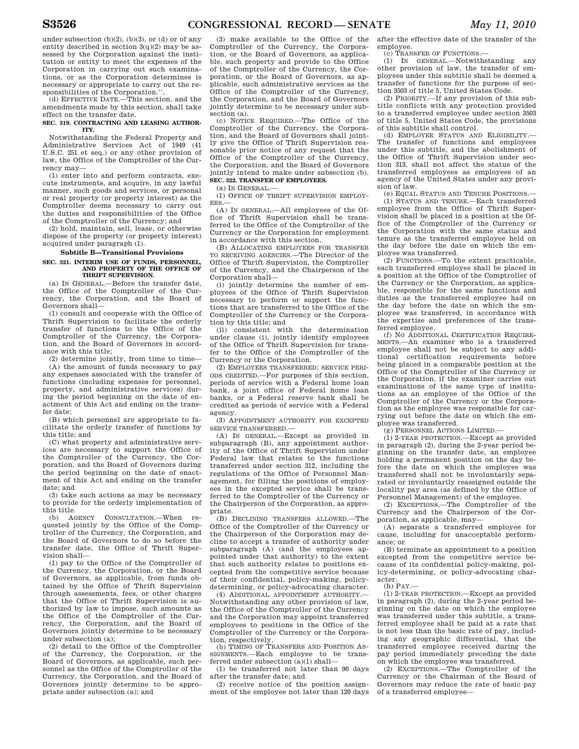under subsection  $(b)(2)$ ,  $(b)(3)$ , or  $(d)$  or of any entity described in section  $3(q)(2)$  may be assessed by the Corporation against the institution or entity to meet the expenses of the Corporation in carrying out such examinations, or as the Corporation determines is necessary or appropriate to carry out the responsibilities of the Corporation.

(d) EFFECTIVE DATE.—This section, and the amendments made by this section, shall take effect on the transfer date.

#### **SEC. 319. CONTRACTING AND LEASING AUTHOR-ITY.**

Notwithstanding the Federal Property and Administrative Services Act of 1949 (41 U.S.C. 251 et seq.) or any other provision of law, the Office of the Comptroller of the Currency may—

(1) enter into and perform contracts, execute instruments, and acquire, in any lawful manner, such goods and services, or personal or real property (or property interest) as the Comptroller deems necessary to carry out the duties and responsibilities of the Office of the Comptroller of the Currency; and

(2) hold, maintain, sell, lease, or otherwise dispose of the property (or property interest) acquired under paragraph (1).

### **Subtitle B—Transitional Provisions**

#### **SEC. 321. INTERIM USE OF FUNDS, PERSONNEL, AND PROPERTY OF THE OFFICE OF THRIFT SUPERVISION.**

(a) IN GENERAL.—Before the transfer date, the Office of the Comptroller of the Currency, the Corporation, and the Board of Governors shall—

(1) consult and cooperate with the Office of Thrift Supervision to facilitate the orderly transfer of functions to the Office of the Comptroller of the Currency, the Corporation, and the Board of Governors in accordance with this title;

(2) determine jointly, from time to time— (A) the amount of funds necessary to pay any expenses associated with the transfer of functions (including expenses for personnel, property, and administrative services) during the period beginning on the date of enactment of this Act and ending on the transfer date;

(B) which personnel are appropriate to facilitate the orderly transfer of functions by this title; and

(C) what property and administrative services are necessary to support the Office of the Comptroller of the Currency, the Corporation, and the Board of Governors during the period beginning on the date of enactment of this Act and ending on the transfer date; and

(3) take such actions as may be necessary to provide for the orderly implementation of this title.

(b) AGENCY CONSULTATION.—When requested jointly by the Office of the Comptroller of the Currency, the Corporation, and the Board of Governors to do so before the transfer date, the Office of Thrift Supervision shall—

(1) pay to the Office of the Comptroller of the Currency, the Corporation, or the Board of Governors, as applicable, from funds obtained by the Office of Thrift Supervision through assessments, fees, or other charges that the Office of Thrift Supervision is authorized by law to impose, such amounts as the Office of the Comptroller of the Currency, the Corporation, and the Board of Governors jointly determine to be necessary under subsection (a);

(2) detail to the Office of the Comptroller of the Currency, the Corporation, or the Board of Governors, as applicable, such personnel as the Office of the Comptroller of the Currency, the Corporation, and the Board of Governors jointly determine to be appropriate under subsection (a); and

(3) make available to the Office of the Comptroller of the Currency, the Corporation, or the Board of Governors, as applicable, such property and provide to the Office of the Comptroller of the Currency, the Corporation, or the Board of Governors, as applicable, such administrative services as the Office of the Comptroller of the Currency, the Corporation, and the Board of Governors jointly determine to be necessary under subsection (a).

(c) NOTICE REQUIRED.—The Office of the Comptroller of the Currency, the Corporation, and the Board of Governors shall jointly give the Office of Thrift Supervision reasonable prior notice of any request that the Office of the Comptroller of the Currency, the Corporation, and the Board of Governors jointly intend to make under subsection (b). **SEC. 322. TRANSFER OF EMPLOYEES.** 

### (a) IN GENERAL.—

(1) OFFICE OF THRIFT SUPERVISION EMPLOY-EES.—

(A) IN GENERAL.—All employees of the Office of Thrift Supervision shall be transferred to the Office of the Comptroller of the Currency or the Corporation for employment in accordance with this section.

(B) ALLOCATING EMPLOYEES FOR TRANSFER TO RECEIVING AGENCIES.—The Director of the Office of Thrift Supervision, the Comptroller of the Currency, and the Chairperson of the Corporation shall—

(i) jointly determine the number of employees of the Office of Thrift Supervision necessary to perform or support the functions that are transferred to the Office of the Comptroller of the Currency or the Corporation by this title; and

(ii) consistent with the determination under clause (i), jointly identify employees of the Office of Thrift Supervision for transfer to the Office of the Comptroller of the Currency or the Corporation.

(2) EMPLOYEES TRANSFERRED; SERVICE PERI-ODS CREDITED.—For purposes of this section, periods of service with a Federal home loan bank, a joint office of Federal home loan banks, or a Federal reserve bank shall be credited as periods of service with a Federal agency.

(3) APPOINTMENT AUTHORITY FOR EXCEPTED SERVICE TRANSFERRED.—

(A) IN GENERAL.—Except as provided in subparagraph (B), any appointment authority of the Office of Thrift Supervision under Federal law that relates to the functions transferred under section 312, including the regulations of the Office of Personnel Management, for filling the positions of employees in the excepted service shall be transferred to the Comptroller of the Currency or the Chairperson of the Corporation, as appropriate.

(B) DECLINING TRANSFERS ALLOWED.—The Office of the Comptroller of the Currency or the Chairperson of the Corporation may decline to accept a transfer of authority under subparagraph (A) (and the employees appointed under that authority) to the extent that such authority relates to positions excepted from the competitive service because of their confidential, policy-making, policydetermining, or policy-advocating character.

(4) ADDITIONAL APPOINTMENT AUTHORITY.— Notwithstanding any other provision of law, the Office of the Comptroller of the Currency and the Corporation may appoint transferred employees to positions in the Office of the Comptroller of the Currency or the Corporation, respectively. (b) TIMING OF TRANSFERS AND POSITION AS-

SIGNMENTS.—Each employee to be transferred under subsection (a)(1) shall—

(1) be transferred not later than 90 days after the transfer date; and

(2) receive notice of the position assignment of the employee not later than 120 days after the effective date of the transfer of the employee.

(c) TRANSFER OF FUNCTIONS.—

(1) IN GENERAL.—Notwithstanding any other provision of law, the transfer of employees under this subtitle shall be deemed a transfer of functions for the purpose of section 3503 of title 5, United States Code.

(2) PRIORITY.—If any provision of this subtitle conflicts with any protection provided to a transferred employee under section 3503 of title 5, United States Code, the provisions of this subtitle shall control.

(d) EMPLOYEE STATUS AND ELIGIBILITY.— The transfer of functions and employees under this subtitle, and the abolishment of the Office of Thrift Supervision under section 313, shall not affect the status of the transferred employees as employees of an agency of the United States under any provision of law.

(e) EQUAL STATUS AND TENURE POSITIONS.— (1) STATUS AND TENURE.—Each transferred employee from the Office of Thrift Supervision shall be placed in a position at the Office of the Comptroller of the Currency or the Corporation with the same status and tenure as the transferred employee held on the day before the date on which the employee was transferred.

(2) FUNCTIONS.—To the extent practicable, each transferred employee shall be placed in a position at the Office of the Comptroller of the Currency or the Corporation, as applicable, responsible for the same functions and duties as the transferred employee had on the day before the date on which the employee was transferred, in accordance with the expertise and preferences of the transferred employee.

(f) NO ADDITIONAL CERTIFICATION REQUIRE-MENTS.—An examiner who is a transferred employee shall not be subject to any additional certification requirements before being placed in a comparable position at the Office of the Comptroller of the Currency or the Corporation, if the examiner carries out examinations of the same type of institutions as an employee of the Office of the Comptroller of the Currency or the Corporation as the employee was responsible for carrying out before the date on which the employee was transferred.

(g) PERSONNEL ACTIONS LIMITED.—

(1) 2-YEAR PROTECTION.—Except as provided in paragraph (2), during the 2-year period beginning on the transfer date, an employee holding a permanent position on the day before the date on which the employee was transferred shall not be involuntarily separated or involuntarily reassigned outside the locality pay area (as defined by the Office of Personnel Management) of the employee.

(2) EXCEPTIONS.—The Comptroller of the Currency and the Chairperson of the Corporation, as applicable, may—

(A) separate a transferred employee for cause, including for unacceptable performance; or

(B) terminate an appointment to a position excepted from the competitive service because of its confidential policy-making, policy-determining, or policy-advocating character.

(h) PAY.—

(1) 2-YEAR PROTECTION.—Except as provided in paragraph (2), during the 2-year period beginning on the date on which the employee was transferred under this subtitle, a transferred employee shall be paid at a rate that is not less than the basic rate of pay, including any geographic differential, that the transferred employee received during the pay period immediately preceding the date on which the employee was transferred.

(2) EXCEPTIONS.—The Comptroller of the Currency or the Chairman of the Board of Governors may reduce the rate of basic pay of a transferred employee—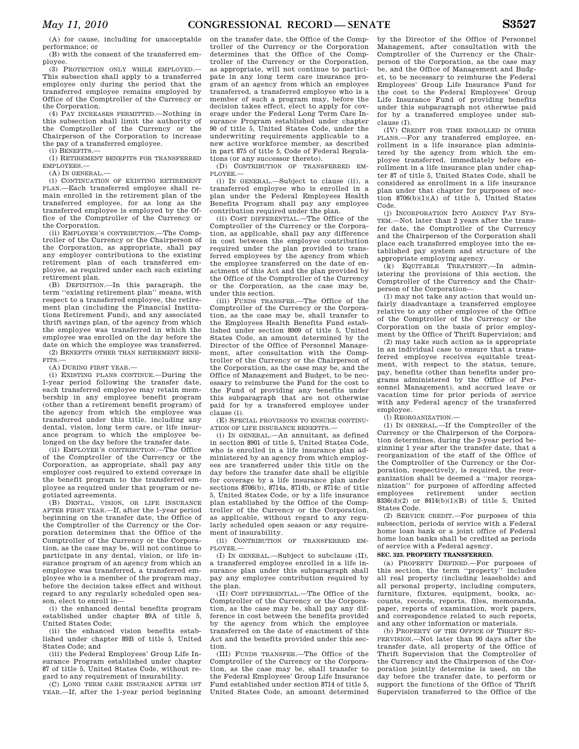(A) for cause, including for unacceptable performance; or

(B) with the consent of the transferred employee.

(3) PROTECTION ONLY WHILE EMPLOYED. This subsection shall apply to a transferred employee only during the period that the transferred employee remains employed by Office of the Comptroller of the Currency or the Corporation.

(4) PAY INCREASES PERMITTED.—Nothing in this subsection shall limit the authority of the Comptroller of the Currency or the Chairperson of the Corporation to increase the pay of a transferred employee.

(i) BENEFITS.—

(1) RETIREMENT BENEFITS FOR TRANSFERRED EMPLOYEES.—

(A) IN GENERAL.—

(i) CONTINUATION OF EXISTING RETIREMENT PLAN.—Each transferred employee shall remain enrolled in the retirement plan of the transferred employee, for as long as the transferred employee is employed by the Office of the Comptroller of the Currency or the Corporation.

(ii) EMPLOYER'S CONTRIBUTION.—The Comptroller of the Currency or the Chairperson of the Corporation, as appropriate, shall pay any employer contributions to the existing retirement plan of each transferred employee, as required under each such existing retirement plan.

(B) DEFINITION.—In this paragraph, the term ''existing retirement plan'' means, with respect to a transferred employee, the retirement plan (including the Financial Institutions Retirement Fund), and any associated thrift savings plan, of the agency from which the employee was transferred in which the employee was enrolled on the day before the date on which the employee was transferred. (2) BENEFITS OTHER THAN RETIREMENT BENE-

FITS.—

(A) DURING FIRST YEAR.—

(i) EXISTING PLANS CONTINUE.—During the 1-year period following the transfer date, each transferred employee may retain membership in any employee benefit program (other than a retirement benefit program) of the agency from which the employee was transferred under this title, including any dental, vision, long term care, or life insurance program to which the employee belonged on the day before the transfer date.

(ii) EMPLOYER'S CONTRIBUTION.—The Office of the Comptroller of the Currency or the Corporation, as appropriate, shall pay any employer cost required to extend coverage in the benefit program to the transferred employee as required under that program or negotiated agreements.

(B) DENTAL, VISION, OR LIFE INSURANCE AFTER FIRST YEAR.—If, after the 1-year period beginning on the transfer date, the Office of the Comptroller of the Currency or the Corporation determines that the Office of the Comptroller of the Currency or the Corporation, as the case may be, will not continue to participate in any dental, vision, or life insurance program of an agency from which an employee was transferred, a transferred employee who is a member of the program may, before the decision takes effect and without regard to any regularly scheduled open season, elect to enroll in—

(i) the enhanced dental benefits program established under chapter 89A of title 5, United States Code;

(ii) the enhanced vision benefits established under chapter 89B of title 5, United States Code; and

(iii) the Federal Employees' Group Life Insurance Program established under chapter 87 of title 5, United States Code, without regard to any requirement of insurability.

(C) LONG TERM CARE INSURANCE AFTER 1ST YEAR.—If, after the 1-year period beginning

on the transfer date, the Office of the Comptroller of the Currency or the Corporation determines that the Office of the Comptroller of the Currency or the Corporation, as appropriate, will not continue to participate in any long term care insurance program of an agency from which an employee transferred, a transferred employee who is a member of such a program may, before the decision takes effect, elect to apply for coverage under the Federal Long Term Care Insurance Program established under chapter 90 of title 5, United States Code, under the underwriting requirements applicable to a new active workforce member, as described in part 875 of title 5, Code of Federal Regulations (or any successor thereto).

(D) CONTRIBUTION OF TRANSFERRED EM-PLOYEE.—

(i) IN GENERAL.—Subject to clause (ii), a transferred employee who is enrolled in a plan under the Federal Employees Health Benefits Program shall pay any employee contribution required under the plan.

(ii) COST DIFFERENTIAL.—The Office of the Comptroller of the Currency or the Corporation, as applicable, shall pay any difference in cost between the employee contribution required under the plan provided to transferred employees by the agency from which the employee transferred on the date of enactment of this Act and the plan provided by the Office of the Comptroller of the Currency or the Corporation, as the case may be, under this section.

(iii) FUNDS TRANSFER.—The Office of the Comptroller of the Currency or the Corporation, as the case may be, shall transfer to the Employees Health Benefits Fund established under section 8909 of title 5, United States Code, an amount determined by the Director of the Office of Personnel Management, after consultation with the Comptroller of the Currency or the Chairperson of the Corporation, as the case may be, and the Office of Management and Budget, to be necessary to reimburse the Fund for the cost to the Fund of providing any benefits under this subparagraph that are not otherwise paid for by a transferred employee under clause (i).

(E) SPECIAL PROVISIONS TO ENSURE CONTINU-ATION OF LIFE INSURANCE BENEFITS.—

(i) IN GENERAL.—An annuitant, as defined in section 8901 of title 5, United States Code, who is enrolled in a life insurance plan administered by an agency from which employees are transferred under this title on the day before the transfer date shall be eligible for coverage by a life insurance plan under sections 8706(b), 8714a, 8714b, or 8714c of title 5, United States Code, or by a life insurance plan established by the Office of the Comptroller of the Currency or the Corporation, as applicable, without regard to any regularly scheduled open season or any requirement of insurability.

(ii) CONTRIBUTION OF TRANSFERRED EM-PLOYEE.—

(I) IN GENERAL.—Subject to subclause (II), a transferred employee enrolled in a life insurance plan under this subparagraph shall pay any employee contribution required by the plan.

(II) COST DIFFERENTIAL.—The Office of the Comptroller of the Currency or the Corporation, as the case may be, shall pay any difference in cost between the benefits provided by the agency from which the employee transferred on the date of enactment of this Act and the benefits provided under this section.

(III) FUNDS TRANSFER.—The Office of the Comptroller of the Currency or the Corporation, as the case may be, shall transfer to the Federal Employees' Group Life Insurance Fund established under section 8714 of title 5, United States Code, an amount determined

by the Director of the Office of Personnel Management, after consultation with the Comptroller of the Currency or the Chairperson of the Corporation, as the case may be, and the Office of Management and Budget, to be necessary to reimburse the Federal Employees' Group Life Insurance Fund for the cost to the Federal Employees' Group Life Insurance Fund of providing benefits under this subparagraph not otherwise paid for by a transferred employee under subclause (I).

(IV) CREDIT FOR TIME ENROLLED IN OTHER PLANS.—For any transferred employee, enrollment in a life insurance plan administered by the agency from which the employee transferred, immediately before enrollment in a life insurance plan under chapter 87 of title 5, United States Code, shall be considered as enrollment in a life insurance plan under that chapter for purposes of section  $8706(b)(1)(A)$  of title 5, United States Code.

(j) INCORPORATION INTO AGENCY PAY SYS-TEM.—Not later than 2 years after the transfer date, the Comptroller of the Currency and the Chairperson of the Corporation shall place each transferred employee into the established pay system and structure of the appropriate employing agency.

(k) EQUITABLE TREATMENT.—In administering the provisions of this section, the Comptroller of the Currency and the Chairperson of the Corporation—

(1) may not take any action that would unfairly disadvantage a transferred employee relative to any other employee of the Office of the Comptroller of the Currency or the Corporation on the basis of prior employment by the Office of Thrift Supervision; and

(2) may take such action as is appropriate in an individual case to ensure that a transferred employee receives equitable treatment, with respect to the status, tenure, pay, benefits (other than benefits under programs administered by the Office of Personnel Management), and accrued leave or vacation time for prior periods of service with any Federal agency of the transferred employee.

(l) REORGANIZATION.—

(1) IN GENERAL.—If the Comptroller of the Currency or the Chairperson of the Corporation determines, during the 2-year period beginning 1 year after the transfer date, that a reorganization of the staff of the Office of the Comptroller of the Currency or the Corporation, respectively, is required, the reorganization shall be deemed a ''major reorganization'' for purposes of affording affected employees retirement under section 8336(d)(2) or 8414(b)(1)(B) of title 5, United States Code.

(2) SERVICE CREDIT.—For purposes of this subsection, periods of service with a Federal home loan bank or a joint office of Federal home loan banks shall be credited as periods of service with a Federal agency.

### **SEC. 323. PROPERTY TRANSFERRED.**

(a) PROPERTY DEFINED.—For purposes of this section, the term ''property'' includes all real property (including leaseholds) and all personal property, including computers, furniture, fixtures, equipment, books, accounts, records, reports, files, memoranda, paper, reports of examination, work papers, and correspondence related to such reports, and any other information or materials.

(b) PROPERTY OF THE OFFICE OF THRIFT SU-PERVISION.—Not later than 90 days after the transfer date, all property of the Office of Thrift Supervision that the Comptroller of the Currency and the Chairperson of the Corporation jointly determine is used, on the day before the transfer date, to perform or support the functions of the Office of Thrift Supervision transferred to the Office of the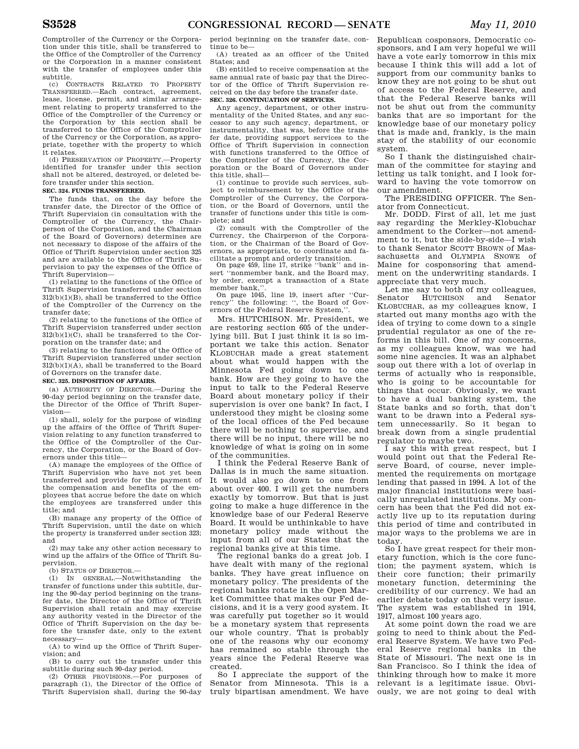Comptroller of the Currency or the Corporation under this title, shall be transferred to the Office of the Comptroller of the Currency or the Corporation in a manner consistent with the transfer of employees under this subtitle.

(c) CONTRACTS RELATED TO PROPERTY TRANSFERRED.—Each contract, agreement, lease, license, permit, and similar arrangement relating to property transferred to the Office of the Comptroller of the Currency or the Corporation by this section shall be transferred to the Office of the Comptroller of the Currency or the Corporation, as appropriate, together with the property to which it relates.

(d) PRESERVATION OF PROPERTY.—Property identified for transfer under this section shall not be altered, destroyed, or deleted before transfer under this section.

### **SEC. 324. FUNDS TRANSFERRED.**

The funds that, on the day before the transfer date, the Director of the Office of Thrift Supervision (in consultation with the Comptroller of the Currency, the Chairperson of the Corporation, and the Chairman of the Board of Governors) determines are not necessary to dispose of the affairs of the Office of Thrift Supervision under section 325 and are available to the Office of Thrift Supervision to pay the expenses of the Office of Thrift Supervision—

(1) relating to the functions of the Office of Thrift Supervision transferred under section 312(b)(1)(B), shall be transferred to the Office of the Comptroller of the Currency on the transfer date;

(2) relating to the functions of the Office of Thrift Supervision transferred under section  $312(b)(1)(C)$ , shall be transferred to the Corporation on the transfer date; and

(3) relating to the functions of the Office of Thrift Supervision transferred under section  $312(b)(1)(A)$ , shall be transferred to the Board of Governors on the transfer date.

### **SEC. 325. DISPOSITION OF AFFAIRS.**

(a) AUTHORITY OF DIRECTOR.—During the 90-day period beginning on the transfer date, the Director of the Office of Thrift Supervision—

(1) shall, solely for the purpose of winding up the affairs of the Office of Thrift Supervision relating to any function transferred to the Office of the Comptroller of the Currency, the Corporation, or the Board of Governors under this title—

(A) manage the employees of the Office of Thrift Supervision who have not yet been transferred and provide for the payment of the compensation and benefits of the employees that accrue before the date on which the employees are transferred under this title; and

(B) manage any property of the Office of Thrift Supervision, until the date on which the property is transferred under section 323; and

(2) may take any other action necessary to wind up the affairs of the Office of Thrift Supervision.

(b) STATUS OF DIRECTOR.—

(1) IN GENERAL.—Notwithstanding the transfer of functions under this subtitle, during the 90-day period beginning on the transfer date, the Director of the Office of Thrift Supervision shall retain and may exercise any authority vested in the Director of the Office of Thrift Supervision on the day before the transfer date, only to the extent necessary—

(A) to wind up the Office of Thrift Supervision; and

(B) to carry out the transfer under this subtitle during such 90-day period.

(2) OTHER PROVISIONS.—For purposes of paragraph (1), the Director of the Office of Thrift Supervision shall, during the 90-day

period beginning on the transfer date, continue to be—

(A) treated as an officer of the United States; and

(B) entitled to receive compensation at the same annual rate of basic pay that the Director of the Office of Thrift Supervision received on the day before the transfer date. **SEC. 326. CONTINUATION OF SERVICES.** 

### Any agency, department, or other instrumentality of the United States, and any successor to any such agency, department, or instrumentality, that was, before the transfer date, providing support services to the Office of Thrift Supervision in connection with functions transferred to the Office of the Comptroller of the Currency, the Cor-

poration or the Board of Governors under this title, shall— (1) continue to provide such services, subject to reimbursement by the Office of the Comptroller of the Currency, the Corporation, or the Board of Governors, until the transfer of functions under this title is complete; and

(2) consult with the Comptroller of the Currency, the Chairperson of the Corporation, or the Chairman of the Board of Governors, as appropriate, to coordinate and facilitate a prompt and orderly transition. On page 459, line 17, strike ''bank'' and in-

sert "nonmember bank, and the Board may, by order, exempt a transaction of a State member bank,''.

On page 1045, line 19, insert after "Cur-<br>rency" the following: ", the Board of Govthe following: ", the Board of Governors of the Federal Reserve System,''.

Mrs. HUTCHISON. Mr. President, we are restoring section 605 of the underlying bill. But I just think it is so important we take this action. Senator KLOBUCHAR made a great statement about what would happen with the Minnesota Fed going down to one bank. How are they going to have the input to talk to the Federal Reserve Board about monetary policy if their supervision is over one bank? In fact, I understood they might be closing some of the local offices of the Fed because there will be nothing to supervise, and there will be no input, there will be no knowledge of what is going on in some of the communities.

I think the Federal Reserve Bank of Dallas is in much the same situation. It would also go down to one from about over 400. I will get the numbers exactly by tomorrow. But that is just going to make a huge difference in the knowledge base of our Federal Reserve Board. It would be unthinkable to have monetary policy made without the input from all of our States that the regional banks give at this time.

The regional banks do a great job. I have dealt with many of the regional banks. They have great influence on monetary policy. The presidents of the regional banks rotate in the Open Market Committee that makes our Fed decisions, and it is a very good system. It was carefully put together so it would be a monetary system that represents our whole country. That is probably one of the reasons why our economy has remained so stable through the years since the Federal Reserve was created.

So I appreciate the support of the Senator from Minnesota. This is a truly bipartisan amendment. We have Republican cosponsors, Democratic cosponsors, and I am very hopeful we will have a vote early tomorrow in this mix because I think this will add a lot of support from our community banks to know they are not going to be shut out of access to the Federal Reserve, and that the Federal Reserve banks will not be shut out from the community banks that are so important for the knowledge base of our monetary policy that is made and, frankly, is the main stay of the stability of our economic system.

So I thank the distinguished chairman of the committee for staying and letting us talk tonight, and I look forward to having the vote tomorrow on our amendment.

The PRESIDING OFFICER. The Senator from Connecticut.

Mr. DODD. First of all, let me just say regarding the Merkley-Klobuchar amendment to the Corker—not amendment to it, but the side-by-side—I wish to thank Senator SCOTT BROWN of Massachusetts and OLYMPIA SNOWE of Maine for cosponsoring that amendment on the underwriting standards. I appreciate that very much.

Let me say to both of my colleagues, Senator HUTCHISON and Senator KLOBUCHAR, as my colleagues know, I started out many months ago with the idea of trying to come down to a single prudential regulator as one of the reforms in this bill. One of my concerns, as my colleagues know, was we had some nine agencies. It was an alphabet soup out there with a lot of overlap in terms of actually who is responsible, who is going to be accountable for things that occur. Obviously, we want to have a dual banking system, the State banks and so forth, that don't want to be drawn into a Federal system unnecessarily. So it began to break down from a single prudential regulator to maybe two.

I say this with great respect, but I would point out that the Federal Reserve Board, of course, never implemented the requirements on mortgage lending that passed in 1994. A lot of the major financial institutions were basically unregulated institutions. My concern has been that the Fed did not exactly live up to its reputation during this period of time and contributed in major ways to the problems we are in today.

So I have great respect for their monetary function, which is the core function; the payment system, which is their core function; their primarily monetary function, determining the credibility of our currency. We had an earlier debate today on that very issue. The system was established in 1914, 1917, almost 100 years ago.

At some point down the road we are going to need to think about the Federal Reserve System. We have two Federal Reserve regional banks in the State of Missouri. The next one is in San Francisco. So I think the idea of thinking through how to make it more relevant is a legitimate issue. Obviously, we are not going to deal with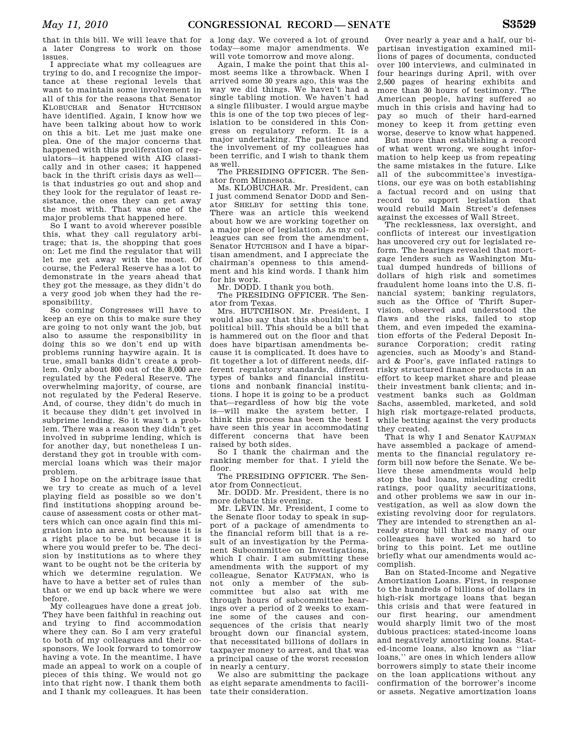that in this bill. We will leave that for a later Congress to work on those issues.

I appreciate what my colleagues are trying to do, and I recognize the importance at these regional levels that want to maintain some involvement in all of this for the reasons that Senator KLOBUCHAR and Senator HUTCHISON have identified. Again, I know how we have been talking about how to work on this a bit. Let me just make one plea. One of the major concerns that happened with this proliferation of regulators—it happened with AIG classically and in other cases; it happened back in the thrift crisis days as well is that industries go out and shop and they look for the regulator of least resistance, the ones they can get away the most with. That was one of the major problems that happened here.

So I want to avoid wherever possible this, what they call regulatory arbitrage; that is, the shopping that goes on: Let me find the regulator that will let me get away with the most. Of course, the Federal Reserve has a lot to demonstrate in the years ahead that they got the message, as they didn't do a very good job when they had the responsibility.

So coming Congresses will have to keep an eye on this to make sure they are going to not only want the job, but also to assume the responsibility in doing this so we don't end up with problems running haywire again. It is true, small banks didn't create a problem. Only about 800 out of the 8,000 are regulated by the Federal Reserve. The overwhelming majority, of course, are not regulated by the Federal Reserve. And, of course, they didn't do much in it because they didn't get involved in subprime lending. So it wasn't a problem. There was a reason they didn't get involved in subprime lending, which is for another day, but nonetheless I understand they got in trouble with commercial loans which was their major problem.

So I hope on the arbitrage issue that we try to create as much of a level playing field as possible so we don't find institutions shopping around because of assessment costs or other matters which can once again find this migration into an area, not because it is a right place to be but because it is where you would prefer to be. The decision by institutions as to where they want to be ought not be the criteria by which we determine regulation. We have to have a better set of rules than that or we end up back where we were before.

My colleagues have done a great job. They have been faithful in reaching out and trying to find accommodation where they can. So I am very grateful to both of my colleagues and their cosponsors. We look forward to tomorrow having a vote. In the meantime, I have made an appeal to work on a couple of pieces of this thing. We would not go into that right now. I thank them both and I thank my colleagues. It has been a long day. We covered a lot of ground today—some major amendments. We will vote tomorrow and move along.

Again, I make the point that this almost seems like a throwback. When I arrived some 30 years ago, this was the way we did things. We haven't had a single tabling motion. We haven't had a single filibuster. I would argue maybe this is one of the top two pieces of legislation to be considered in this Congress on regulatory reform. It is a major undertaking. The patience and the involvement of my colleagues has been terrific, and I wish to thank them as well.

The PRESIDING OFFICER. The Senator from Minnesota.

Ms. KLOBUCHAR. Mr. President, can I just commend Senator DODD and Senator SHELBY for setting this tone. There was an article this weekend about how we are working together on a major piece of legislation. As my colleagues can see from the amendment, Senator HUTCHISON and I have a bipartisan amendment, and I appreciate the chairman's openness to this amendment and his kind words. I thank him for his work.

Mr. DODD. I thank you both.

The PRESIDING OFFICER. The Senator from Texas.

Mrs. HUTCHISON. Mr. President, I would also say that this shouldn't be a political bill. This should be a bill that is hammered out on the floor and that does have bipartisan amendments because it is complicated. It does have to fit together a lot of different needs, different regulatory standards, different types of banks and financial institutions and nonbank financial institutions. I hope it is going to be a product that—regardless of how big the vote is—will make the system better. I think this process has been the best I have seen this year in accommodating different concerns that have been raised by both sides.

So I thank the chairman and the ranking member for that. I yield the floor.

The PRESIDING OFFICER. The Senator from Connecticut.

Mr. DODD. Mr. President, there is no more debate this evening.

Mr. LEVIN. Mr. President, I come to the Senate floor today to speak in support of a package of amendments to the financial reform bill that is a result of an investigation by the Permanent Subcommittee on Investigations, which I chair. I am submitting these amendments with the support of my colleague, Senator KAUFMAN, who is not only a member of the subcommittee but also sat with me through hours of subcommittee hearings over a period of 2 weeks to examine some of the causes and consequences of the crisis that nearly brought down our financial system, that necessitated billions of dollars in taxpayer money to arrest, and that was a principal cause of the worst recession in nearly a century.

We also are submitting the package as eight separate amendments to facilitate their consideration.

Over nearly a year and a half, our bipartisan investigation examined millions of pages of documents, conducted over 100 interviews, and culminated in four hearings during April, with over 2,500 pages of hearing exhibits and more than 30 hours of testimony. The American people, having suffered so much in this crisis and having had to pay so much of their hard-earned money to keep it from getting even worse, deserve to know what happened.

But more than establishing a record of what went wrong, we sought information to help keep us from repeating the same mistakes in the future. Like all of the subcommittee's investigations, our eye was on both establishing a factual record and on using that record to support legislation that would rebuild Main Street's defenses against the excesses of Wall Street.

The recklessness, lax oversight, and conflicts of interest our investigation has uncovered cry out for legislated reform. The hearings revealed that mortgage lenders such as Washington Mutual dumped hundreds of billions of dollars of high risk and sometimes fraudulent home loans into the U.S. financial system; banking regulators, such as the Office of Thrift Supervision, observed and understood the flaws and the risks, failed to stop them, and even impeded the examination efforts of the Federal Deposit Insurance Corporation; credit rating agencies, such as Moody's and Standard & Poor's, gave inflated ratings to risky structured finance products in an effort to keep market share and please their investment bank clients; and investment banks such as Goldman Sachs, assembled, marketed, and sold high risk mortgage-related products, while betting against the very products they created.

That is why I and Senator KAUFMAN have assembled a package of amendments to the financial regulatory reform bill now before the Senate. We believe these amendments would help stop the bad loans, misleading credit ratings, poor quality securitizations, and other problems we saw in our investigation, as well as slow down the existing revolving door for regulators. They are intended to strengthen an already strong bill that so many of our colleagues have worked so hard to bring to this point. Let me outline briefly what our amendments would accomplish.

Ban on Stated-Income and Negative Amortization Loans. First, in response to the hundreds of billions of dollars in high-risk mortgage loans that began this crisis and that were featured in our first hearing, our amendment would sharply limit two of the most dubious practices: stated-income loans and negatively amortizing loans. Stated-income loans, also known as ''liar loans,'' are ones in which lenders allow borrowers simply to state their income on the loan applications without any confirmation of the borrower's income or assets. Negative amortization loans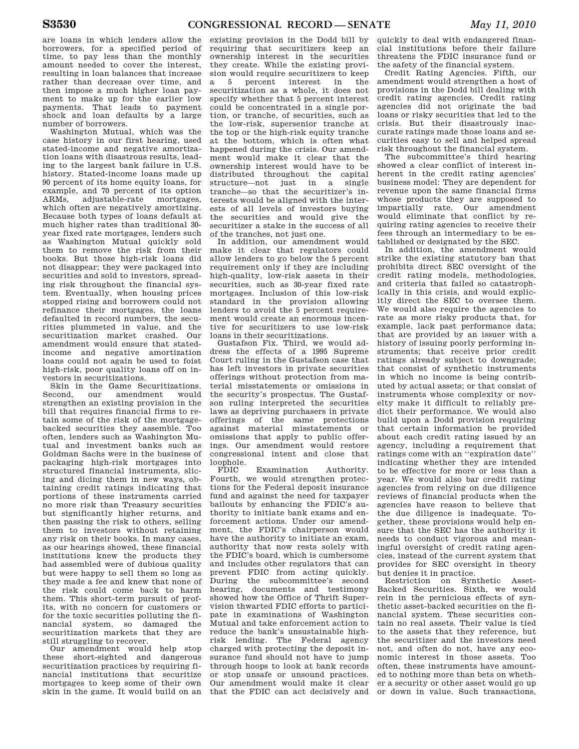are loans in which lenders allow the borrowers, for a specified period of time, to pay less than the monthly amount needed to cover the interest, resulting in loan balances that increase rather than decrease over time, and then impose a much higher loan payment to make up for the earlier low payments. That leads to payment shock and loan defaults by a large number of borrowers.

Washington Mutual, which was the case history in our first hearing, used stated-income and negative amortization loans with disastrous results, leading to the largest bank failure in U.S. history. Stated-income loans made up 90 percent of its home equity loans, for example, and 70 percent of its option ARMs, adjustable-rate mortgages, which often are negatively amortizing. Because both types of loans default at much higher rates than traditional 30 year fixed rate mortgages, lenders such as Washington Mutual quickly sold them to remove the risk from their books. But those high-risk loans did not disappear; they were packaged into securities and sold to investors, spreading risk throughout the financial system. Eventually, when housing prices stopped rising and borrowers could not refinance their mortgages, the loans defaulted in record numbers, the securities plummeted in value, and the securitization market crashed. Our amendment would ensure that statedincome and negative amortization loans could not again be used to foist high-risk, poor quality loans off on investors in securitizations.

Skin in the Game Securitizations. Second, our amendment would strengthen an existing provision in the bill that requires financial firms to retain some of the risk of the mortgagebacked securities they assemble. Too often, lenders such as Washington Mutual and investment banks such as Goldman Sachs were in the business of packaging high-risk mortgages into structured financial instruments, slicing and dicing them in new ways, obtaining credit ratings indicating that portions of these instruments carried no more risk than Treasury securities but significantly higher returns, and then passing the risk to others, selling them to investors without retaining any risk on their books. In many cases, as our hearings showed, these financial institutions knew the products they had assembled were of dubious quality but were happy to sell them so long as they made a fee and knew that none of the risk could come back to harm them. This short-term pursuit of profits, with no concern for customers or for the toxic securities polluting the financial system, so damaged the securitization markets that they are still struggling to recover.

Our amendment would help stop these short-sighted and dangerous securitization practices by requiring financial institutions that securitize mortgages to keep some of their own skin in the game. It would build on an

existing provision in the Dodd bill by requiring that securitizers keep an ownership interest in the securities they create. While the existing provision would require securitizers to keep<br>a 5 percent interest in the percent interest in the securitization as a whole, it does not specify whether that 5 percent interest could be concentrated in a single portion, or tranche, of securities, such as the low-risk, supersenior tranche at the top or the high-risk equity tranche at the bottom, which is often what happened during the crisis. Our amendment would make it clear that the ownership interest would have to be distributed throughout the capital structure—not just in a single tranche—so that the securitizer's interests would be aligned with the interests of all levels of investors buying the securities and would give the securitizer a stake in the success of all of the tranches, not just one.

In addition, our amendment would make it clear that regulators could allow lenders to go below the 5 percent requirement only if they are including high-quality, low-risk assets in their securities, such as 30-year fixed rate mortgages. Inclusion of this low-risk standard in the provision allowing lenders to avoid the 5 percent requirement would create an enormous incentive for securitizers to use low-risk loans in their securitizations.

Gustafson Fix. Third, we would address the effects of a 1995 Supreme Court ruling in the Gustafson case that has left investors in private securities offerings without protection from material misstatements or omissions in the security's prospectus. The Gustafson ruling interpreted the securities laws as depriving purchasers in private offerings of the same protections against material misstatements or omissions that apply to public offerings. Our amendment would restore congressional intent and close that loophole.

FDIC Examination Authority. Fourth, we would strengthen protections for the Federal deposit insurance fund and against the need for taxpayer bailouts by enhancing the FDIC's authority to initiate bank exams and enforcement actions. Under our amendment, the FDIC's chairperson would have the authority to initiate an exam, authority that now rests solely with the FDIC's board, which is cumbersome and includes other regulators that can prevent FDIC from acting quickly. During the subcommittee's second hearing, documents and testimony showed how the Office of Thrift Supervision thwarted FDIC efforts to participate in examinations of Washington Mutual and take enforcement action to reduce the bank's unsustainable highrisk lending. The Federal agency charged with protecting the deposit insurance fund should not have to jump through hoops to look at bank records or stop unsafe or unsound practices. Our amendment would make it clear that the FDIC can act decisively and

quickly to deal with endangered financial institutions before their failure threatens the FDIC insurance fund or the safety of the financial system.

Credit Rating Agencies. Fifth, our amendment would strengthen a host of provisions in the Dodd bill dealing with credit rating agencies. Credit rating agencies did not originate the bad loans or risky securities that led to the crisis. But their disastrously inaccurate ratings made those loans and securities easy to sell and helped spread risk throughout the financial system.

The subcommittee's third hearing showed a clear conflict of interest inherent in the credit rating agencies' business model: They are dependent for revenue upon the same financial firms whose products they are supposed to impartially rate. Our amendment would eliminate that conflict by requiring rating agencies to receive their fees through an intermediary to be established or designated by the SEC.

In addition, the amendment would strike the existing statutory ban that prohibits direct SEC oversight of the credit rating models, methodologies, and criteria that failed so catastrophically in this crisis, and would explicitly direct the SEC to oversee them. We would also require the agencies to rate as more risky products that, for example, lack past performance data; that are provided by an issuer with a history of issuing poorly performing instruments; that receive prior credit ratings already subject to downgrade; that consist of synthetic instruments in which no income is being contributed by actual assets; or that consist of instruments whose complexity or novelty make it difficult to reliably predict their performance. We would also build upon a Dodd provision requiring that certain information be provided about each credit rating issued by an agency, including a requirement that ratings come with an ''expiration date'' indicating whether they are intended to be effective for more or less than a year. We would also bar credit rating agencies from relying on due diligence reviews of financial products when the agencies have reason to believe that the due diligence is inadequate. Together, these provisions would help ensure that the SEC has the authority it needs to conduct vigorous and meaningful oversight of credit rating agencies, instead of the current system that provides for SEC oversight in theory but denies it in practice.

Restriction on Synthetic Asset-Backed Securities. Sixth, we would rein in the pernicious effects of synthetic asset-backed securities on the financial system. These securities contain no real assets. Their value is tied to the assets that they reference, but the securitizer and the investors need not, and often do not, have any economic interest in those assets. Too often, these instruments have amounted to nothing more than bets on whether a security or other asset would go up or down in value. Such transactions,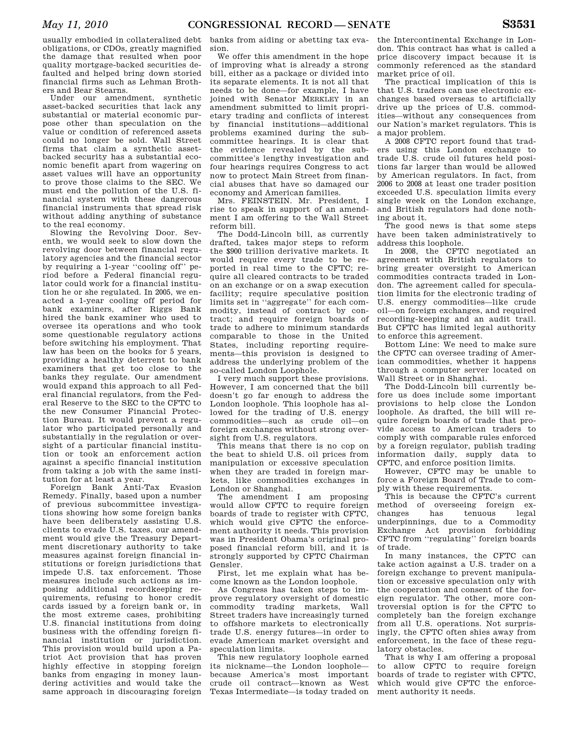usually embodied in collateralized debt obligations, or CDOs, greatly magnified the damage that resulted when poor quality mortgage-backed securities defaulted and helped bring down storied financial firms such as Lehman Brothers and Bear Stearns.

Under our amendment, synthetic asset-backed securities that lack any substantial or material economic purpose other than speculation on the value or condition of referenced assets could no longer be sold. Wall Street firms that claim a synthetic assetbacked security has a substantial economic benefit apart from wagering on asset values will have an opportunity to prove those claims to the SEC. We must end the pollution of the U.S. financial system with these dangerous financial instruments that spread risk without adding anything of substance to the real economy.

Slowing the Revolving Door. Seventh, we would seek to slow down the revolving door between financial regulatory agencies and the financial sector by requiring a 1-year ''cooling off'' period before a Federal financial regulator could work for a financial institution he or she regulated. In 2005, we enacted a 1-year cooling off period for bank examiners, after Riggs Bank hired the bank examiner who used to oversee its operations and who took some questionable regulatory actions before switching his employment. That law has been on the books for 5 years, providing a healthy deterrent to bank examiners that get too close to the banks they regulate. Our amendment would expand this approach to all Federal financial regulators, from the Federal Reserve to the SEC to the CFTC to the new Consumer Financial Protection Bureau. It would prevent a regulator who participated personally and substantially in the regulation or oversight of a particular financial institution or took an enforcement action against a specific financial institution from taking a job with the same institution for at least a year.

Foreign Bank Anti-Tax Evasion Remedy. Finally, based upon a number of previous subcommittee investigations showing how some foreign banks have been deliberately assisting U.S. clients to evade U.S. taxes, our amendment would give the Treasury Department discretionary authority to take measures against foreign financial institutions or foreign jurisdictions that impede U.S. tax enforcement. Those measures include such actions as imposing additional recordkeeping requirements, refusing to honor credit cards issued by a foreign bank or, in the most extreme cases, prohibiting U.S. financial institutions from doing business with the offending foreign financial institution or jurisdiction. This provision would build upon a Patriot Act provision that has proven highly effective in stopping foreign banks from engaging in money laundering activities and would take the same approach in discouraging foreign

banks from aiding or abetting tax evasion.

We offer this amendment in the hope of improving what is already a strong bill, either as a package or divided into its separate elements. It is not all that needs to be done—for example, I have joined with Senator MERKLEY in an amendment submitted to limit proprietary trading and conflicts of interest by financial institutions—additional problems examined during the subcommittee hearings. It is clear that the evidence revealed by the subcommittee's lengthy investigation and four hearings requires Congress to act now to protect Main Street from financial abuses that have so damaged our economy and American families.

Mrs. FEINSTEIN. Mr. President, I rise to speak in support of an amendment I am offering to the Wall Street reform bill.

The Dodd-Lincoln bill, as currently drafted, takes major steps to reform the \$900 trillion derivative markets. It would require every trade to be reported in real time to the CFTC; require all cleared contracts to be traded on an exchange or on a swap execution facility; require speculative position limits set in ''aggregate'' for each commodity, instead of contract by contract; and require foreign boards of trade to adhere to minimum standards comparable to those in the United States, including reporting requirements—this provision is designed to address the underlying problem of the so-called London Loophole.

I very much support these provisions. However, I am concerned that the bill doesn't go far enough to address the London loophole. This loophole has allowed for the trading of U.S. energy commodities—such as crude oil—on foreign exchanges without strong oversight from U.S. regulators.

This means that there is no cop on the beat to shield U.S. oil prices from manipulation or excessive speculation when they are traded in foreign markets, like commodities exchanges in London or Shanghai.

The amendment I am proposing would allow CFTC to require foreign boards of trade to register with CFTC, which would give CFTC the enforcement authority it needs. This provision was in President Obama's original proposed financial reform bill, and it is strongly supported by CFTC Chairman Gensler.

First, let me explain what has become known as the London loophole.

As Congress has taken steps to improve regulatory oversight of domestic commodity trading markets, Wall Street traders have increasingly turned to offshore markets to electronically trade U.S. energy futures—in order to evade American market oversight and speculation limits.

This new regulatory loophole earned its nickname—the London loophole because America's most important crude oil contract—known as West Texas Intermediate—is today traded on

the Intercontinental Exchange in London. This contract has what is called a price discovery impact because it is commonly referenced as the standard market price of oil.

The practical implication of this is that U.S. traders can use electronic exchanges based overseas to artificially drive up the prices of U.S. commodities—without any consequences from our Nation's market regulators. This is a major problem.

A 2008 CFTC report found that traders using this London exchange to trade U.S. crude oil futures held positions far larger than would be allowed by American regulators. In fact, from 2006 to 2008 at least one trader position exceeded U.S. speculation limits every single week on the London exchange, and British regulators had done nothing about it.

The good news is that some steps have been taken administratively to address this loophole.

In 2008, the CFTC negotiated an agreement with British regulators to bring greater oversight to American commodities contracts traded in London. The agreement called for speculation limits for the electronic trading of U.S. energy commodities—like crude oil—on foreign exchanges, and required recording-keeping and an audit trail. But CFTC has limited legal authority to enforce this agreement.

Bottom Line: We need to make sure the CFTC can oversee trading of American commodities, whether it happens through a computer server located on Wall Street or in Shanghai.

The Dodd-Lincoln bill currently before us does include some important provisions to help close the London loophole. As drafted, the bill will require foreign boards of trade that provide access to American traders to comply with comparable rules enforced by a foreign regulator, publish trading information daily, supply data to CFTC, and enforce position limits.

However, CFTC may be unable to force a Foreign Board of Trade to comply with these requirements.

This is because the CFTC's current method of overseeing foreign exchanges has tenuous legal underpinnings, due to a Commodity Exchange Act provision forbidding CFTC from ''regulating'' foreign boards of trade.

In many instances, the CFTC can take action against a U.S. trader on a foreign exchange to prevent manipulation or excessive speculation only with the cooperation and consent of the foreign regulator. The other, more controversial option is for the CFTC to completely ban the foreign exchange from all U.S. operations. Not surprisingly, the CFTC often shies away from enforcement, in the face of these regulatory obstacles.

That is why I am offering a proposal to allow CFTC to require foreign boards of trade to register with CFTC, which would give CFTC the enforcement authority it needs.